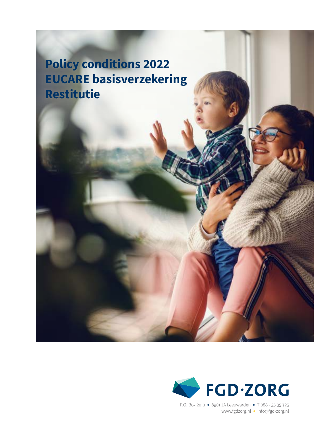**Policy conditions 2022 EUCARE basisverzekering Restitutie**



P.O. Box 2010 • 8901 JA Leeuwarden • T 088 - <sup>35</sup> <sup>35</sup> <sup>725</sup> [www.fgdzorg.nl](http://fgdzorg.nl) • [info@fgd-zorg.](mailto:info%40fgd-zorg.nl?subject=)nl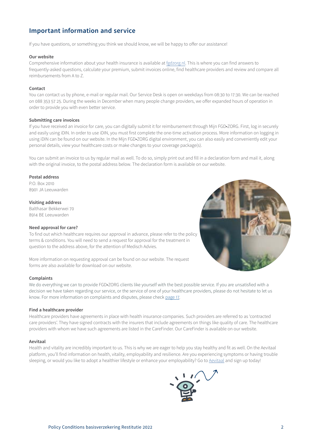# **Important information and service**

If you have questions, or something you think we should know, we will be happy to offer our assistance!

#### **Our website**

Comprehensive information about your health insurance is available at [fgdzorg.nl](http://fgdzorg.nl). This is where you can find answers to frequently-asked questions, calculate your premium, submit invoices online, find healthcare providers and review and compare all reimbursements from A to Z.

#### **Contact**

You can contact us by phone, e-mail or regular mail. Our Service Desk is open on weekdays from 08:30 to 17:30. We can be reached on 088 353 57 25. During the weeks in December when many people change providers, we offer expanded hours of operation in order to provide you with even better service.

#### **Submitting care invoices**

If you have received an invoice for care, you can digitally submit it for reimbursement through Mijn FGD•ZORG. First, log in securely and easily using iDIN. In order to use iDIN, you must first complete the one-time activation process. More information on logging in using iDIN can be found on our website. In the Mijn FGD•ZORG digital environment, you can also easily and conveniently edit your personal details, view your healthcare costs or make changes to your coverage package(s).

You can submit an invoice to us by regular mail as well. To do so, simply print out and fill in a declaration form and mail it, along with the original invoice, to the postal address below. The declaration form is available on our website.

## **Postal address**

P.O. Box 2010 8901 JA Leeuwarden

# **Visiting address**

Balthasar Bekkerwei 70 8914 BE Leeuwarden

## **Need approval for care?**

To find out which healthcare requires our approval in advance, please refer to the policy terms & conditions. You will need to send a request for approval for the treatment in question to the address above, for the attention of Medisch Advies.

More information on requesting approval can be found on our website. The request forms are also available for download on our website.

#### **Complaints**

We do everything we can to provide FGD•ZORG clients like yourself with the best possible service. If you are unsatisfied with a decision we have taken regarding our service, or the service of one of your healthcare providers, please do not hesitate to let us know. For more information on complaints and disputes, please check page 17.

## **Find a healthcare provider**

Healthcare providers have agreements in place with health insurance companies. Such providers are referred to as 'contracted care providers'. They have signed contracts with the insurers that include agreements on things like quality of care. The healthcare providers with whom we have such agreements are listed in the CareFinder. Our CareFinder is available on our website.

#### **Aevitaal**

Health and vitality are incredibly important to us. This is why we are eager to help you stay healthy and fit as well. On the Aevitaal platform, you'll find information on health, vitality, employability and resilience. Are you experiencing symptoms or having trouble sleeping, or would you like to adopt a healthier lifestyle or enhance your employability? Go to Aevitaal and sign up today!

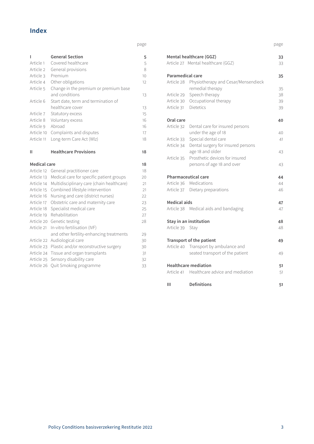# **Index**

page

| ı            | <b>General Section</b>                    | 5                 |
|--------------|-------------------------------------------|-------------------|
| Article 1    | Covered healthcare                        | 5                 |
| Article 2    | General provisions                        | 8                 |
| Article 3    | Premium                                   | 10                |
| Article 4    | Other obligations                         | $12 \overline{ }$ |
| Article 5    | Change in the premium or premium base     |                   |
|              | and conditions                            | 13                |
| Article 6    | Start date, term and termination of       |                   |
|              | healthcare cover                          | 13                |
| Article 7    | Statutory excess                          | 15                |
| Article 8    | Voluntary excess                          | 16                |
| Article 9    | Abroad                                    | 16                |
| Article 10   | Complaints and disputes                   | 17                |
| Article 11   | Long-term Care Act (Wlz)                  | 18                |
| н            | <b>Healthcare Provisions</b>              | 18                |
|              |                                           |                   |
| Medical care |                                           | 18                |
| Article 12   | General practitioner care                 | 18                |
| Article 13   | Medical care for specific patient groups  | 20                |
| Article 14   | Multidisciplinary care (chain healthcare) | 21                |
| Article 15   | Combined lifestyle intervention           | 21                |
| Article 16   | Nursing and care (district nurses)        | 22                |
| Article 17   | Obstetric care and maternity care         | 23                |
| Article 18   | Specialist medical care                   | 25                |
| Article 19   | Rehabilitation                            | 27                |
| Article 20   |                                           |                   |
|              | Genetic testing                           | 28                |
| Article 21   | In-vitro fertilisation (IVF)              |                   |
|              | and other fertility-enhancing treatments  | 29                |
| Article 22   | Audiological care                         | 30                |
| Article 23   | Plastic and/or reconstructive surgery     | 30                |
| Article 24   | Tissue and organ transplants              | 31                |
| Article 25   | Sensory disability care                   | 32                |

page

|                         | Mental healthcare (GGZ)                        | 33 |
|-------------------------|------------------------------------------------|----|
|                         | Article 27 Mental healthcare (GGZ)             | 33 |
| <b>Paramedical care</b> |                                                | 35 |
|                         | Article 28 Physiotherapy and Cesar/Mensendieck |    |
|                         | remedial therapy                               | 35 |
| Article 29              | Speech therapy                                 | 38 |
|                         | Article 30 Occupational therapy                | 39 |
| Article 31 Dietetics    |                                                | 39 |
| Oral care               |                                                | 40 |
| Article 32              | Dental care for insured persons                |    |
|                         | under the age of 18                            | 40 |
| Article 33              | Special dental care                            | 41 |
| Article 34              | Dental surgery for insured persons             |    |
|                         | age 18 and older                               | 43 |
| Article 35              | Prosthetic devices for insured                 |    |
|                         | persons of age 18 and over                     | 43 |
|                         | <b>Pharmaceutical care</b>                     | 44 |
|                         | Article 36 Medications                         | 44 |
|                         | Article 37 Dietary preparations                | 46 |
| <b>Medical aids</b>     |                                                | 47 |
|                         | Article 38 Medical aids and bandaging          | 47 |
|                         | Stay in an institution                         | 48 |
| Article 39 Stay         |                                                | 48 |
|                         | Transport of the patient                       | 49 |
|                         | Article 40 Transport by ambulance and          |    |
|                         | seated transport of the patient                | 49 |
|                         | <b>Healthcare mediation</b>                    | 51 |
|                         | Article 41 Healthcare advice and mediation     | 51 |
| Ш                       | <b>Definitions</b>                             | 51 |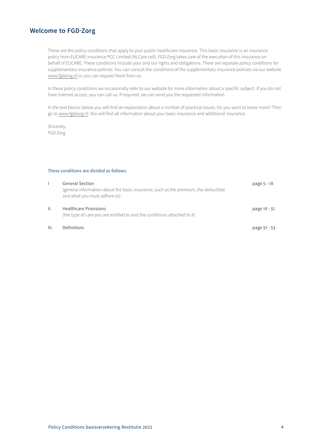# **Welcome to FGD·Zorg**

These are the policy conditions that apply to your public healthcare insurance. This basic insurance is an insurance policy from EUCARE Insurance PCC Limited (NLCare cell). FGD·Zorg takes care of the execution of this insurance on behalf of EUCARE. These conditions include your and our rights and obligations. There are separate policy conditions for supplementary insurance policies. You can consult the conditions of the supplementary insurance policies via our website [www.fgdzorg.nl](http://www.fgdzorg.nl) or you can request them from us.

In these policy conditions we occasionally refer to our website for more information about a specific subject. If you do not have internet access, you can call us. If required, we can send you the requested information.

In the text blocks below you will find an explanation about a number of practical issues. Do you want to know more? Then go to [www.fgdzorg.nl.](http://www.fgdzorg.nl.) You will find all information about your basic insurance and additional insurance.

Sincerely, FGD·Zorg

# These conditions are divided as follows:

|      | <b>General Section</b><br>(general information about the basic insurance, such as the premium, the deductible<br>and what you must adhere to) | page 5 - 18  |
|------|-----------------------------------------------------------------------------------------------------------------------------------------------|--------------|
| ΙΙ.  | <b>Healthcare Provisions</b><br>(the type of care you are entitled to and the conditions attached to it)                                      | page 18 - 51 |
| III. | Definitions                                                                                                                                   | page 51 - 53 |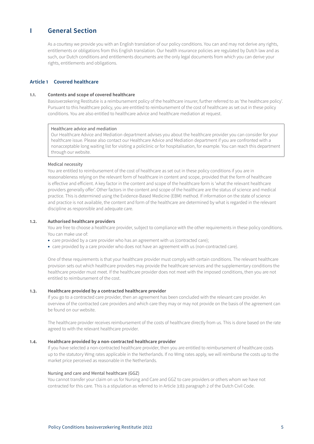# <span id="page-4-0"></span>**I General Section**

As a courtesy we provide you with an English translation of our policy conditions. You can and may not derive any rights, entitlements or obligations from this English translation. Our health insurance policies are regulated by Dutch law and as such, our Dutch conditions and entitlements documents are the only legal documents from which you can derive your rights, entitlements and obligations.

# **Article 1 Covered healthcare**

# **1.1. Contents and scope of covered healthcare**

Basisverzekering Restitutie is a reimbursement policy of the healthcare insurer, further referred to as 'the healthcare policy'. Pursuant to this healthcare policy, you are entitled to reimbursement of the cost of healthcare as set out in these policy conditions. You are also entitled to healthcare advice and healthcare mediation at request.

#### Healthcare advice and mediation

Our Healthcare Advice and Mediation department advises you about the healthcare provider you can consider for your healthcare issue. Please also contact our Healthcare Advice and Mediation department if you are confronted with a nonacceptable long waiting list for visiting a policlinic or for hospitalisation, for example. You can reach this department through our website.

## Medical necessity

You are entitled to reimbursement of the cost of healthcare as set out in these policy conditions if you are in reasonableness relying on the relevant form of healthcare in content and scope, provided that the form of healthcare is effective and efficient. A key factor in the content and scope of the healthcare form is 'what the relevant healthcare providers generally offer'. Other factors in the content and scope of the healthcare are the status of science and medical practice. This is determined using the Evidence-Based Medicine (EBM) method. If information on the state of science and practice is not available, the content and form of the healthcare are determined by what is regarded in the relevant discipline as responsible and adequate care.

#### **1.2. Authorised healthcare providers**

You are free to choose a healthcare provider, subject to compliance with the other requirements in these policy conditions. You can make use of:

- care provided by a care provider who has an agreement with us (contracted care);
- care provided by a care provider who does not have an agreement with us (non-contracted care).

One of these requirements is that your healthcare provider must comply with certain conditions. The relevant healthcare provision sets out which healthcare providers may provide the healthcare services and the supplementary conditions the healthcare provider must meet. If the healthcare provider does not meet with the imposed conditions, then you are not entitled to reimbursement of the cost.

# **1.3. Healthcare provided by a contracted healthcare provider**

If you go to a contracted care provider, then an agreement has been concluded with the relevant care provider. An overview of the contracted care providers and which care they may or may not provide on the basis of the agreement can be found on our website.

The healthcare provider receives reimbursement of the costs of healthcare directly from us. This is done based on the rate agreed to with the relevant healthcare provider.

## **1.4. Healthcare provided by a non-contracted healthcare provider**

If you have selected a non-contracted healthcare provider, then you are entitled to reimbursement of healthcare costs up to the statutory Wmg rates applicable in the Netherlands. If no Wmg rates apply, we will reimburse the costs up to the market price perceived as reasonable in the Netherlands.

## Nursing and care and Mental healthcare (GGZ)

You cannot transfer your claim on us for Nursing and Care and GGZ to care providers or others whom we have not contracted for this care. This is a stipulation as referred to in Article 3:83 paragraph 2 of the Dutch Civil Code.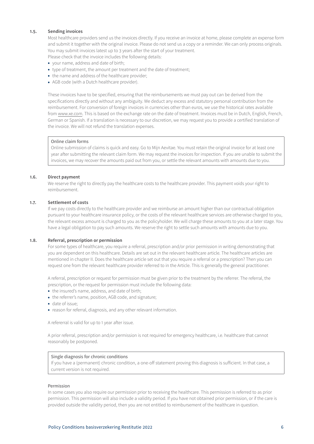# **1.5. Sending invoices**

Most healthcare providers send us the invoices directly. If you receive an invoice at home, please complete an expense form and submit it together with the original invoice. Please do not send us a copy or a reminder. We can only process originals. You may submit invoices latest up to 3 years after the start of your treatment.

Please check that the invoice includes the following details:

- your name, address and date of birth;
- type of treatment, the amount per treatment and the date of treatment;
- the name and address of the healthcare provider;
- AGB code (with a Dutch healthcare provider).

These invoices have to be specified, ensuring that the reimbursements we must pay out can be derived from the specifications directly and without any ambiguity. We deduct any excess and statutory personal contribution from the reimbursement. For conversion of foreign invoices in currencies other than euros, we use the historical rates available from www.xe.com. This is based on the exchange rate on the date of treatment. Invoices must be in Dutch, English, French, German or Spanish. If a translation is necessary to our discretion, we may request you to provide a certified translation of the invoice. We will not refund the translation expenses.

# Online claim forms

Online submission of claims is quick and easy. Go to Mijn Aevitae. You must retain the original invoice for at least one year after submitting the relevant claim form. We may request the invoices for inspection. If you are unable to submit the invoices, we may recover the amounts paid out from you, or settle the relevant amounts with amounts due to you.

## **1.6. Direct payment**

We reserve the right to directly pay the healthcare costs to the healthcare provider. This payment voids your right to reimbursement.

## **1.7. Settlement of costs**

If we pay costs directly to the healthcare provider and we reimburse an amount higher than our contractual obligation pursuant to your healthcare insurance policy, or the costs of the relevant healthcare services are otherwise charged to you, the relevant excess amount is charged to you as the policyholder. We will charge these amounts to you at a later stage. You have a legal obligation to pay such amounts. We reserve the right to settle such amounts with amounts due to you.

# **1.8. Referral, prescription or permission**

For some types of healthcare, you require a referral, prescription and/or prior permission in writing demonstrating that you are dependent on this healthcare. Details are set out in the relevant healthcare article. The healthcare articles are mentioned in chapter II. Does the healthcare article set out that you require a referral or a prescription? Then you can request one from the relevant healthcare provider referred to in the Article. This is generally the general practitioner.

A referral, prescription or request for permission must be given prior to the treatment by the referrer. The referral, the prescription, or the request for permission must include the following data:

- the insured's name, address, and date of birth;
- the referrer's name, position, AGB code, and signature;
- date of issue;
- reason for referral, diagnosis, and any other relevant information.

A refererral is valid for up to 1 year after issue.

A prior referral, prescription and/or permission is not required for emergency healthcare, i.e. healthcare that cannot reasonably be postponed.

## Single diagnosis for chronic conditions

If you have a (permanent) chronic condition, a one-off statement proving this diagnosis is sufficient. In that case, a current version is not required.

## Permission

In some cases you also require our permission prior to receiving the healthcare. This permission is referred to as prior permission. This permission will also include a validity period. If you have not obtained prior permission, or if the care is provided outside the validity period, then you are not entitled to reimbursement of the healthcare in question.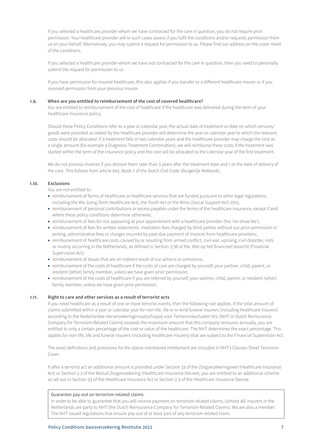If you selected a healthcare provider whom we have contracted for the care in question, you do not require prior permission. Your healthcare provider will in such cases assess if you fulfil the conditions and/or requests permission from us on your behalf. Alternatively, you may submit a request for permission to us. Please find our address on the cover sheet of the conditions.

If you selected a healthcare provider whom we have not contracted for the care in question, then you need to personally submit the request for permission to us.

If you have permission for insured healthcare, this also applies if you transfer to a different healthcare insurer or if you received permission from your previous insurer.

# **1.9. When are you entitled to reimbursement of the cost of covered healthcare?**

You are entitled to reimbursement of the cost of healthcare if the healthcare was delivered during the term of your healthcare insurance policy.

Should these Policy Conditions refer to a year or calendar year, the actual date of treatment or date on which services/ goods were provided as stated by the healthcare provider will determine the year or calendar year to which the relevant costs should be allocated. If a treatment falls in two calendar years and the healthcare provider may charge the cost as a single amount (for example a Diagnosis Treatment Combination), we will reimburse these costs if the treatment was started within the term of the insurance policy and the cost will be allocated to the calendar year of the first treatment.

We do not process invoices if you declare them later than 3 years after the treatment date and / or the date of delivery of the care. This follows from article 942, Book 7 of the Dutch Civil Code (Burgerlijk Wetboek).

# **1.10. Exclusions**

You are not entitled to:

- reimbursement of forms of healthcare or healthcare services that are funded pursuant to other legal regulations, including the Wlz (Long-Term Healthcare Act), the Youth Act or the Wmo (Social Support Act) 2015;
- reimbursement of personal contributions or excess payable under the terms of the healthcare insurance, except if and where these policy conditions determine otherwise;
- reimbursement of fees for not appearing at your appointment with a healthcare provider (the 'no-show fee');
- reimbursement of fees for written statements, mediation fees charged by third parties without our prior permission in writing, administrative fees or charges incurred by past-due payment of invoices from healthcare providers;
- reimbursement of healthcare costs caused by or resulting from armed conflict, civil war, uprising, civil disorder, riots or mutiny occurring in the Netherlands, as defined in Section 3.38 of the Wet op het financieel toezicht (Financial Supervision Act);
- reimbursement of losses that are an indirect result of our actions or omissions;
- reimbursement of the costs of healthcare if the costs of care are charged by yourself, your partner, child, parent, or resident (other) family member, unless we have given prior permission;
- reimbursement of the costs of healthcare if you are referred by yourself, your partner, child, parent, or resident (other) family member, unless we have given prior permission.

## **1.11. Right to care and other services as a result of terrorist acts**

If you need healthcare as a result of one or more terrorist events, then the following rule applies. If the total amount of claims submitted within a year or calendar year for non-life, life or in-kind funeral insurers (including healthcare insurers) according to the Nederlandse Herverzekeringsmaatschappij voor Terrorismeschaden N.V. (NHT or Dutch Reinsurance Company for Terrorism-Related Claims) exceeds the maximum amount that this company reinsures annually, you are entitled to only a certain percentage of the cost or value of the healthcare. The NHT determines the exact percentage. This applies for non-life, life and funeral insurers (including healthcare insurers) that are subject to the Financial Supervision Act.

The exact definitions and provisions for the above-mentioned entitlement are included in NHT's Clauses Sheet Terrorism Cover.

If after a terrorist act an additional amount is provided under Section 33 of the Zorgverzekeringswet (Healthcare Insurance Act) or Section 2.3 of the Besluit Zorgverzekering (Healthcare Insurance Decree), you are entitled to an additional scheme as set out in Section 33 of the Healthcare Insurance Act or Section 2.3 of the Healthcare Insurance Decree.

## Guarantee pay-out on terrorism-related claims

In order to be able to guarantee that you will receive payment on terrorism-related claims, (almost all) insurers in the Netherlands are party to NHT (the Dutch Reinsurance Company for Terrorism-Related Claims). We are also a member. The NHT issued regulations that ensure pay-out of at least part of any terrorism-related claim.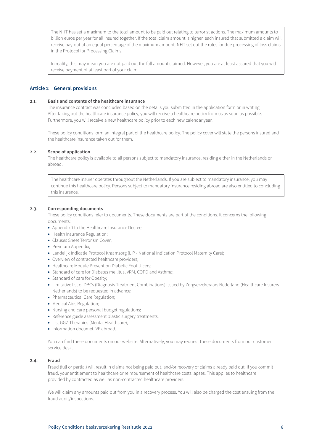<span id="page-7-0"></span>The NHT has set a maximum to the total amount to be paid out relating to terrorist actions. The maximum amounts to 1 billion euros per year for all insured together. If the total claim amount is higher, each insured that submitted a claim will receive pay-out at an equal percentage of the maximum amount. NHT set out the rules for due processing of loss claims in the Protocol for Processing Claims.

In reality, this may mean you are not paid out the full amount claimed. However, you are at least assured that you will receive payment of at least part of your claim.

# **Article 2 General provisions**

# **2.1. Basis and contents of the healthcare insurance**

The insurance contract was concluded based on the details you submitted in the application form or in writing. After taking out the healthcare insurance policy, you will receive a healthcare policy from us as soon as possible. Furthermore, you will receive a new healthcare policy prior to each new calendar year.

These policy conditions form an integral part of the healthcare policy. The policy cover will state the persons insured and the healthcare insurance taken out for them.

## **2.2. Scope of application**

The healthcare policy is available to all persons subject to mandatory insurance, residing either in the Netherlands or abroad.

The healthcare insurer operates throughout the Netherlands. If you are subject to mandatory insurance, you may continue this healthcare policy. Persons subject to mandatory insurance residing abroad are also entitled to concluding this insurance.

## **2.3. Corresponding documents**

These policy conditions refer to documents. These documents are part of the conditions. It concerns the following documents:

- Appendix 1 to the Healthcare Insurance Decree;
- Health Insurance Regulation;
- Clauses Sheet Terrorism Cover;
- Premium Appendix;
- Landelijk Indicatie Protocol Kraamzorg (LIP National Indication Protocol Maternity Care);
- Overview of contracted healthcare providers;
- Healthcare Module Prevention Diabetic Foot Ulcers;
- Standard of care for Diabetes mellitus, VRM, COPD and Asthma;
- Standard of care for Obesity;
- Limitative list of DBCs (Diagnosis Treatment Combinations) issued by Zorgverzekeraars Nederland (Healthcare Insurers Netherlands) to be requested in advance;
- Pharmaceutical Care Regulation;
- Medical Aids Regulation;
- Nursing and care personal budget regulations;
- Reference guide assessment plastic surgery treatments;
- List GGZ Therapies (Mental Healthcare);
- Information documet IVF abroad.

You can find these documents on our website. Alternatively, you may request these documents from our customer service desk.

# **2.4. Fraud**

Fraud (full or partial) will result in claims not being paid out, and/or recovery of claims already paid out. If you commit fraud, your entitlement to healthcare or reimbursement of healthcare costs lapses. This applies to healthcare provided by contracted as well as non-contracted healthcare providers.

We will claim any amounts paid out from you in a recovery process. You will also be charged the cost ensuing from the fraud audit/inspections.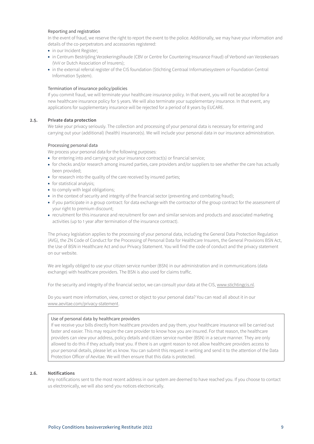# Reporting and registration

In the event of fraud, we reserve the right to report the event to the police. Additionally, we may have your information and details of the co-perpetrators and accessories registered:

- in our Incident Register;
- in Centrum Bestrijding Verzekeringsfraude (CBV or Centre for Countering Insurance Fraud) of Verbond van Verzekeraars (VvV or Dutch Association of Insurers);
- in the external referral register of the CIS foundation (Stichting Centraal Informatiesysteem or Foundation Central Information System).

## Termination of insurance policy/policies

If you commit fraud, we will terminate your healthcare insurance policy. In that event, you will not be accepted for a new healthcare insurance policy for 5 years. We will also terminate your supplementary insurance. In that event, any applications for supplementary insurance will be rejected for a period of 8 years by EUCARE.

## **2.5. Private data protection**

We take your privacy seriously. The collection and processing of your personal data is necessary for entering and carrying out your (additional) (health) insurance(s). We will include your personal data in our insurance administration.

## Processing personal data

We process your personal data for the following purposes:

- for entering into and carrying out your insurance contract(s) or financial service;
- for checks and/or research among insured parties, care providers and/or suppliers to see whether the care has actually been provided;
- for research into the quality of the care received by insured parties;
- for statistical analysis;
- to comply with legal obligations;
- in the context of security and integrity of the financial sector (preventing and combating fraud);
- if you participate in a group contract: for data exchange with the contractor of the group contract for the assessment of your right to premium discount;
- recruitment for this insurance and recruitment for own and similar services and products and associated marketing activities (up to 1 year after termination of the insurance contract).

The privacy legislation applies to the processing of your personal data, including the General Data Protection Regulation (AVG), the ZN Code of Conduct for the Processing of Personal Data for Healthcare Insurers, the General Provisions BSN Act, the Use of BSN in Healthcare Act and our Privacy Statement. You will find the code of conduct and the privacy statement on our website.

We are legally obliged to use your citizen service number (BSN) in our administration and in communications (data exchange) with healthcare providers. The BSN is also used for claims traffic.

For the security and integrity of the financial sector, we can consult your data at the CIS, www.stichtingcis.nl.

Do you want more information, view, correct or object to your personal data? You can read all about it in our www.aevitae.com/privacy-statement.

## Use of personal data by healthcare providers

If we receive your bills directly from healthcare providers and pay them, your healthcare insurance will be carried out faster and easier. This may require the care provider to know how you are insured. For that reason, the healthcare providers can view your address, policy details and citizen service number (BSN) in a secure manner. They are only allowed to do this if they actually treat you. If there is an urgent reason to not allow healthcare providers access to your personal details, please let us know. You can submit this request in writing and send it to the attention of the Data Protection Officer of Aevitae. We will then ensure that this data is protected.

## **2.6. Notifications**

Any notifications sent to the most recent address in our system are deemed to have reached you. If you choose to contact us electronically, we will also send you notices electronically.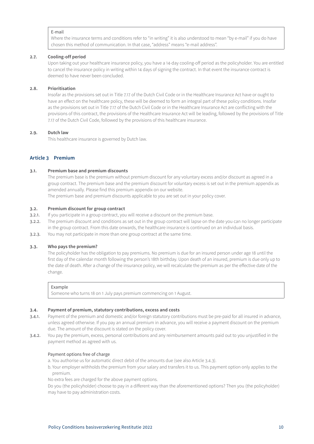## <span id="page-9-0"></span>E-mail

Where the insurance terms and conditions refer to "in writing" it is also understood to mean "by e-mail" if you do have chosen this method of communication. In that case, "address" means "e-mail address".

## **2.7. Cooling-off period**

Upon taking out your healthcare insurance policy, you have a 14-day cooling-off period as the policyholder. You are entitled to cancel the insurance policy in writing within 14 days of signing the contract. In that event the insurance contract is deemed to have never been concluded.

## **2.8. Prioritisation**

Insofar as the provisions set out in Title 7.17 of the Dutch Civil Code or in the Healthcare Insurance Act have or ought to have an effect on the healthcare policy, these will be deemed to form an integral part of these policy conditions. Insofar as the provisions set out in Title 7.17 of the Dutch Civil Code or in the Healthcare Insurance Act are conflicting with the provisions of this contract, the provisions of the Healthcare Insurance Act will be leading, followed by the provisions of Title 7.17 of the Dutch Civil Code, followed by the provisions of this healthcare insurance.

## **2.9. Dutch law**

This healthcare insurance is governed by Dutch law.

# **Article 3 Premium**

## **3.1. Premium base and premium discounts**

The premium base is the premium without premium discount for any voluntary excess and/or discount as agreed in a group contract. The premium base and the premium discount for voluntary excess is set out in the premium appendix as amended annually. Please find this premium appendix on our website. The premium base and premium discounts applicable to you are set out in your policy cover.

#### **3.2. Premium discount for group contract**

- 3.2.1. If you participate in a group contract, you will receive a discount on the premium base.
- 3.2.2. The premium discount and conditions as set out in the group contract will lapse on the date you can no longer participate in the group contract. From this date onwards, the healthcare insurance is continued on an individual basis.
- 3.2.3. You may not participate in more than one group contract at the same time.

## **3.3. Who pays the premium?**

The policyholder has the obligation to pay premiums. No premium is due for an insured person under age 18 until the first day of the calendar month following the person's 18th birthday. Upon death of an insured, premium is due only up to the date of death. After a change of the insurance policy, we will recalculate the premium as per the effective date of the change.

#### Example

Someone who turns 18 on 1 July pays premium commencing on 1 August.

## **3.4. Payment of premium, statutory contributions, excess and costs**

- 3.4.1. Payment of the premium and domestic and/or foreign statutory contributions must be pre-paid for all insured in advance, unless agreed otherwise. If you pay an annual premium in advance, you will receive a payment discount on the premium due. The amount of the discount is stated on the policy cover.
- 3.4.2. You pay the premium, excess, personal contributions and any reimbursement amounts paid out to you unjustified in the payment method as agreed with us.

# Payment options free of charge

- a. You authorise us for automatic direct debit of the amounts due (see also Article 3.4.3).
- b. Your employer withholds the premium from your salary and transfers it to us. This payment option only applies to the premium.

No extra fees are charged for the above payment options.

Do you (the policyholder) choose to pay in a different way than the aforementioned options? Then you (the policyholder) may have to pay administration costs.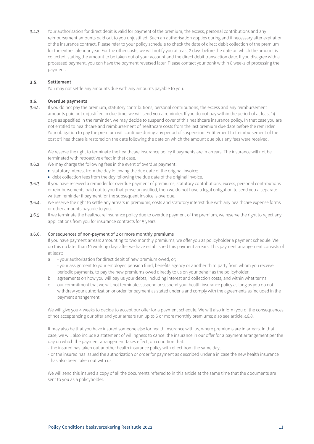<span id="page-10-0"></span>3.4.3. Your authorisation for direct debit is valid for payment of the premium, the excess, personal contributions and any reimbursement amounts paid out to you unjustified. Such an authorisation applies during and if necessary after expiration of the insurance contract. Please refer to your policy schedule to check the date of direct debit collection of the premium for the entire calendar year. For the other costs, we will notify you at least 2 days before the date on which the amount is collected, stating the amount to be taken out of your account and the direct debit transaction date. If you disagree with a processed payment, you can have the payment reversed later. Please contact your bank within 8 weeks of processing the payment.

## **3.5. Settlement**

You may not settle any amounts due with any amounts payable to you.

# **3.6. Overdue payments**

3.6.1. If you do not pay the premium, statutory contributions, personal contributions, the excess and any reimbursement amounts paid out unjustified in due time, we will send you a reminder. If you do not pay within the period of at least 14 days as specified in the reminder, we may decide to suspend cover of this healthcare insurance policy. In that case you are not entitled to healthcare and reimbursement of healthcare costs from the last premium due date before the reminder. Your obligation to pay the premium will continue during any period of suspension. Entitlement to (reimbursement of the cost of) healthcare is restored on the date following the date on which the amount due plus any fees were received.

We reserve the right to terminate the healthcare insurance policy if payments are in arrears. The insurance will not be terminated with retroactive effect in that case.

- 3.6.2. We may charge the following fees in the event of overdue payment:
	- statutory interest from the day following the due date of the original invoice;
	- debt collection fees from the day following the due date of the original invoice.
- 3.6.3. If you have received a reminder for overdue payment of premiums, statutory contributions, excess, personal contributions or reimbursements paid out to you that prove unjustified, then we do not have a legal obligation to send you a separate written reminder if payment for the subsequent invoice is overdue.
- 3.6.4. We reserve the right to settle any arrears in premiums, costs and statutory interest due with any healthcare expense forms or other amounts payable to you.
- 3.6.5. If we terminate the healthcare insurance policy due to overdue payment of the premium, we reserve the right to reject any applications from you for insurance contracts for 5 years.

## 3.6.6. Consequences of non-payment of 2 or more monthly premiums

If you have payment arrears amounting to two monthly premiums, we offer you as policyholder a payment schedule. We do this no later than 10 working days after we have established this payment arrears. This payment arrangement consists of at least:

- a your authorization for direct debit of new premium owed, or; - your assignment to your employer, pension fund, benefits agency or another third party from whom you receive periodic payments, to pay the new premiums owed directly to us on your behalf as the policyholder;
- b agreements on how you will pay us your debts, including interest and collection costs, and within what terms;
- c our commitment that we will not terminate, suspend or suspend your health insurance policy as long as you do not withdraw your authorization or order for payment as stated under a and comply with the agreements as included in the payment arrangement.

We will give you 4 weeks to decide to accept our offer for a payment schedule. We will also inform you of the consequences of not acceptancing our offer and your arrears run up to 6 or more monthly premiums; also see article 3.6.8.

It may also be that you have insured someone else for health insurance with us, where premiums are in arrears. In that case, we will also include a statement of willingness to cancel the insurance in our offer for a payment arrangement per the day on which the payment arrangement takes effect, on condition that:

- the insured has taken out another health insurance policy with effect from the same day;
- or the insured has issued the authorization or order for payment as described under a in case the new health insurance has also been taken out with us.

We will send this insured a copy of all the documents referred to in this article at the same time that the documents are sent to you as a policyholder.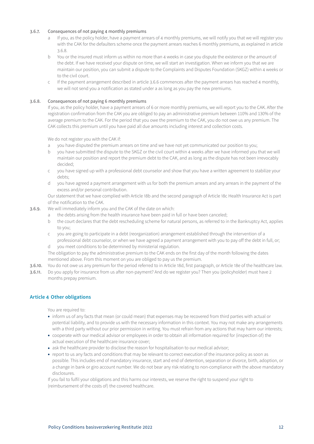# <span id="page-11-0"></span>3.6.7. Consequences of not paying 4 monthly premiums

- If you, as the policy holder, have a payment arrears of 4 monthly premiums, we will notify you that we will register you with the CAK for the defaulters scheme once the payment arrears reaches 6 monthly premiums, as explained in article 3.6.8.
- b You or the insured must inform us within no more than 4 weeks in case you dispute the existence or the amount of the debt. If we have received your dispute on time, we will start an investigation. When we inform you that we are maintain our position, you can submit a dispute to the Complaints and Disputes Foundation (SKGZ) within 4 weeks or to the civil court.
- c If the payment arrangement described in article 3.6.6 commences after the payment arrears has reached 4 monthly, we will not send you a notification as stated under a as long as you pay the new premiums.

# 3.6.8. Consequences of not paying 6 monthly premiums

If you, as the policy holder, have a payment arrears of 6 or more monthly premiums, we will report you to the CAK. After the registration confirmation from the CAK you are obliged to pay an administrative premium between 110% and 130% of the average premium to the CAK. For the period that you owe the premium to the CAK, you do not owe us any premium. The CAK collects this premium until you have paid all due amounts including interest and collection costs.

We do not register you with the CAK if:

- a you have disputed the premium arrears on time and we have not yet communicated our position to you;
- b you have submitted the dispute to the SKGZ or the civil court within 4 weeks after we have informed you that we will maintain our position and report the premium debt to the CAK, and as long as the dispute has not been irrevocably decided;
- c you have signed up with a professional debt counselor and show that you have a written agreement to stabilize your debts;
- d you have agreed a payment arrangement with us for both the premium arrears and any arrears in the payment of the excess and/or personal contribution.

Our statement that we have complied with Article 18b and the second paragraph of Article 18c Health Insurance Act is part of the notification to the CAK.

- 3.6.9. We will immediately inform you and the CAK of the date on which:
	- a the debts arising from the health insurance have been paid in full or have been canceled;
	- b the court declares that the debt rescheduling scheme for natural persons, as referred to in the Bankruptcy Act, applies to you;
	- c you are going to participate in a debt (reorganization) arrangement established through the intervention of a professional debt counselor, or when we have agreed a payment arrangement with you to pay off the debt in full, or;
	- d you meet conditions to be determined by ministerial regulation.

The obligation to pay the administrative premium to the CAK ends on the first day of the month following the dates mentioned above. From this moment on you are obliged to pay us the premium.

- 3.6.10. You do not owe us any premium for the period referred to in Article 18d, first paragraph, or Article 18e of the healthcare law.
- 3.6.11. Do you apply for insurance from us after non-payment? And do we register you? Then you (policyholder) must have 2 months prepay premium.

# **Article 4 Other obligations**

You are required to:

- inform us of any facts that mean (or could mean) that expenses may be recovered from third parties with actual or potential liability, and to provide us with the necessary information in this context. You may not make any arrangements with a third party without our prior permission in writing. You must refrain from any actions that may harm our interests;
- cooperate with our medical advisor or employees in order to obtain all information required for (inspection of) the actual execution of the healthcare insurance cover;
- ask the healthcare provider to disclose the reason for hospitalisation to our medical advisor;
- report to us any facts and conditions that may be relevant to correct execution of the insurance policy as soon as possible. This includes end of mandatory insurance, start and end of detention, separation or divorce, birth, adoption, or a change in bank or giro account number. We do not bear any risk relating to non-compliance with the above mandatory disclosures.

If you fail to fulfil your obligations and this harms our interests, we reserve the right to suspend your right to (reimbursement of the costs of) the covered healthcare.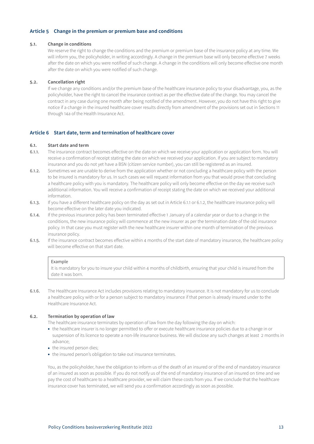# <span id="page-12-0"></span>**Article 5 Change in the premium or premium base and conditions**

#### **5.1. Change in conditions**

We reserve the right to change the conditions and the premium or premium base of the insurance policy at any time. We will inform you, the policyholder, in writing accordingly. A change in the premium base will only become effective 7 weeks after the date on which you were notified of such change. A change in the conditions will only become effective one month after the date on which you were notified of such change.

## **5.2. Cancellation right**

If we change any conditions and/or the premium base of the healthcare insurance policy to your disadvantage, you, as the policyholder, have the right to cancel the insurance contract as per the effective date of the change. You may cancel the contract in any case during one month after being notified of the amendment. However, you do not have this right to give notice if a change in the insured healthcare cover results directly from amendment of the provisions set out in Sections 11 through 14a of the Health Insurance Act.

## **Article 6 Start date, term and termination of healthcare cover**

#### **6.1. Start date and term**

- 6.1.1. The insurance contract becomes effective on the date on which we receive your application or application form. You will receive a confirmation of receipt stating the date on which we received your application. If you are subject to mandatory insurance and you do not yet have a BSN (citizen service number), you can still be registered as an insured.
- 6.1.2. Sometimes we are unable to derive from the application whether or not concluding a healthcare policy with the person to be insured is mandatory for us. In such cases we will request information from you that would prove that concluding a healthcare policy with you is mandatory. The healthcare policy will only become effective on the day we receive such additional information. You will receive a confirmation of receipt stating the date on which we received your additional information.
- 6.1.3. If you have a different healthcare policy on the day as set out in Article 6.1.1 or 6.1.2, the healthcare insurance policy will become effective on the later date you indicated.
- 6.1.4. If the previous insurance policy has been terminated effective 1 January of a calendar year or due to a change in the conditions, the new insurance policy will commence at the new insurer as per the termination date of the old insurance policy. In that case you must register with the new healthcare insurer within one month of termination of the previous insurance policy.
- 6.1.5. If the insurance contract becomes effective within 4 months of the start date of mandatory insurance, the healthcare policy will become effective on that start date.

#### Example

It is mandatory for you to insure your child within 4 months of childbirth, ensuring that your child is insured from the date it was born.

6.1.6. The Healthcare Insurance Act includes provisions relating to mandatory insurance. It is not mandatory for us to conclude a healthcare policy with or for a person subject to mandatory insurance if that person is already insured under to the Healthcare Insurance Act.

# **6.2. Termination by operation of law**

The healthcare insurance terminates by operation of law from the day following the day on which:

- the healthcare insurer is no longer permitted to offer or execute healthcare insurance policies due to a change in or suspension of its licence to operate a non-life insurance business. We will disclose any such changes at least 2 months in advance;
- the insured person dies;
- the insured person's obligation to take out insurance terminates.

You, as the policyholder, have the obligation to inform us of the death of an insured or of the end of mandatory insurance of an insured as soon as possible. If you do not notify us of the end of mandatory insurance of an insured on time and we pay the cost of healthcare to a healthcare provider, we will claim these costs from you. If we conclude that the healthcare insurance cover has terminated, we will send you a confirmation accordingly as soon as possible.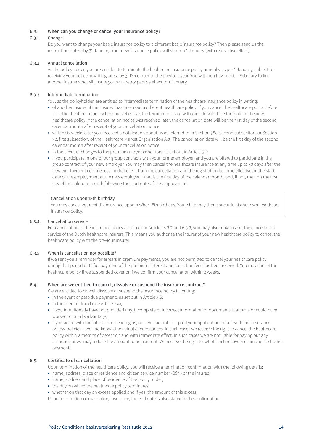# **6.3. When can you change or cancel your insurance policy?**

# 6.3.1 Change

Do you want to change your basic insurance policy to a different basic insurance policy? Then please send us the instructions latest by 31 January. Your new insurance policy will start on 1 January (with retroactive effect).

## 6.3.2. Annual cancellation

As the policyholder, you are entitled to terminate the healthcare insurance policy annually as per 1 January, subject to receiving your notice in writing latest by 31 December of the previous year. You will then have until 1 February to find another insurer who will insure you with retrospective effect to 1 January.

# 6.3.3. Intermediate termination

You, as the policyholder, are entitled to intermediate termination of the healthcare insurance policy in writing:

- of another insured if this insured has taken out a different healthcare policy. If you cancel the healthcare policy before the other healthcare policy becomes effective, the termination date will coincide with the start date of the new healthcare policy. If the cancellation notice was received later, the cancellation date will be the first day of the second calendar month after receipt of your cancellation notice;
- within six weeks after you received a notification about us as referred to in Section 78c, second subsection, or Section 92, first subsection, of the Healthcare Market Organisation Act. The cancellation date will be the first day of the second calendar month after receipt of your cancellation notice;
- in the event of changes to the premium and/or conditions as set out in Article 5.2;
- if you participate in one of our group contracts with your former employer, and you are offered to participate in the group contract of your new employer. You may then cancel the healthcare insurance at any time up to 30 days after the new employment commences. In that event both the cancellation and the registration become effective on the start date of the employment at the new employer if that is the first day of the calendar month, and, if not, then on the first day of the calendar month following the start date of the employment.

## Cancellation upon 18th birthday

You may cancel your child's insurance upon his/her 18th birthday. Your child may then conclude his/her own healthcare insurance policy.

## 6.3.4. Cancellation service

For cancellation of the insurance policy as set out in Articles 6.3.2 and 6.3.3, you may also make use of the cancellation service of the Dutch healthcare insurers. This means you authorise the insurer of your new healthcare policy to cancel the healthcare policy with the previous insurer.

## 6.3.5. When is cancellation not possible?

If we sent you a reminder for arrears in premium payments, you are not permitted to cancel your healthcare policy during that period until full payment of the premium, interest and collection fees has been received. You may cancel the healthcare policy if we suspended cover or if we confirm your cancellation within 2 weeks.

## **6.4. When are we entitled to cancel, dissolve or suspend the insurance contract?**

We are entitled to cancel, dissolve or suspend the insurance policy in writing:

- in the event of past-due payments as set out in Article 3.6;
- in the event of fraud (see Article 2.4):
- if you intentionally have not provided any, incomplete or incorrect information or documents that have or could have worked to our disadvantage;
- if you acted with the intent of misleading us, or if we had not accepted your application for a healthcare insurance policy/ policies if we had known the actual circumstances. In such cases we reserve the right to cancel the healthcare policy within 2 months of detection and with immediate effect. In such cases we are not liable for paying out any amounts, or we may reduce the amount to be paid out. We reserve the right to set off such recovery claims against other payments.

# **6.5. Certificate of cancellation**

Upon termination of the healthcare policy, you will receive a termination confirmation with the following details:

- name, address, place of residence and citizen service number (BSN) of the insured;
- name, address and place of residence of the policyholder;
- the day on which the healthcare policy terminates;
- whether on that day an excess applied and if yes, the amount of this excess.

Upon termination of mandatory insurance, the end date is also stated in the confirmation.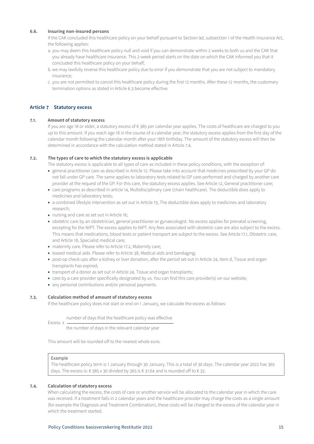# <span id="page-14-0"></span>**6.6. Insuring non-insured persons**

If the CAK concluded this healthcare policy on your behalf pursuant to Section 9d, subsection 1 of the Health Insurance Act, the following applies:

- a. you may deem this healthcare policy null and void if you can demonstrate within 2 weeks to both us and the CAK that you already have healthcare insurance. This 2-week period starts on the date on which the CAK informed you that it concluded this healthcare policy on your behalf;
- b. we may lawfully reverse this healthcare policy due to error if you demonstrate that you are not subject to mandatory insurance;
- c. you are not permitted to cancel this healthcare policy during the first 12 months. After these 12 months, the customary termination options as stated in Article 6.3 become effective.

# **Article 7 Statutory excess**

## **7.1. Amount of statutory excess**

If you are age 18 or older, a statutory excess of € 385 per calendar year applies. The costs of healthcare are charged to you up to this amount. If you reach age 18 in the course of a calendar year, the statutory excess applies from the first day of the calendar month following the calendar month after your 18th birthday. The amount of the statutory excess will then be determined in accordance with the calculation method stated in Article 7.4.

## **7.2. The types of care to which the statutory excess is applicable**

The statutory excess is applicable to all types of care as included in these policy conditions, with the exception of:

- general practitioner care as described in Article 12. Please take into account that medicines prescribed by your GP do not fall under GP care. The same applies to laboratory tests related to GP care performed and charged by another care provider at the request of the GP. For this care, the statutory excess applies. See Article 12, General practitioner care;
- care programs as described in article 14, Multidisciplinary care (chain healthcare). The deductible does apply to medicines and laboratory tests;
- a combined lifestyle intervention as set out in Article 15; The deductible does apply to medicines and laboratory research;
- nursing and care as set out in Article 16;
- obstetric care by an obstetrician, general practitioner or gynaecologist. No excess applies for prenatal screening, excepting for the NIPT. The excess applies to NIPT. Any fees associated with obstetric care are also subject to the excess. This means that medications, blood tests or patient transport are subject to the excess. See Article 17.1, Obstetric care, and Article 18, Specialist medical care;
- maternity care. Please refer to Article 17.2, Maternity care;
- leased medical aids. Please refer to Article 38, Medical aids and bandaging;
- post-op check-ups after a kidney or liver donation, after the period set out in Article 24, item d, Tissue and organ transplants has expired;
- transport of a donor as set out in Article 24, Tissue and organ transplants;
- care by a care provider specifically designated by us. You can find this care provider(s) on our website;
- any personal contributions and/or personal payments.

## **7.3. Calculation method of amount of statutory excess**

If the healthcare policy does not start or end on 1 January, we calculate the excess as follows:

Excess x number of days that the healthcare policy was effective

the number of days in the relevant calendar year

This amount will be rounded off to the nearest whole euro.

## Example

The healthcare policy term is 1 January through 30 January. This is a total of 30 days. The calendar year 2022 has 365 days. The excess is: € 385 x 30 divided by 365 is € 31.64 and is rounded off to € 32.

## **7.4. Calculation of statutory excess**

When calculating the excess, the costs of care or another service will be allocated to the calendar year in which the care was received. If a treatment falls in 2 calendar years and the healthcare provider may charge the costs as a single amount (for example the Diagnosis and Treatment Combination), these costs will be charged to the excess of the calendar year in which the treatment started.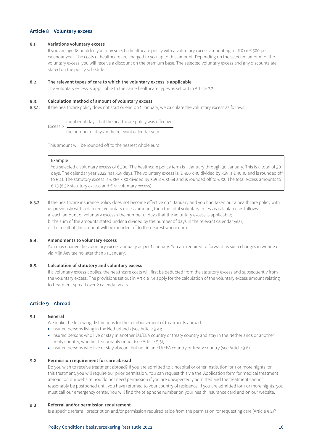# <span id="page-15-0"></span>**Article 8 Voluntary excess**

## **8.1. Variations voluntary excess**

If you are age 18 or older, you may select a healthcare policy with a voluntary excess amounting to: € 0 or € 500 per calendar year. The costs of healthcare are charged to you up to this amount. Depending on the selected amount of the voluntary excess, you will receive a discount on the premium base. The selected voluntary excess and any discounts are stated on the policy schedule.

#### **8.2. The relevant types of care to which the voluntary excess is applicable**

The voluntary excess is applicable to the same healthcare types as set out in Article 7.2.

# **8.3. Calculation method of amount of voluntary excess**

8.3.1. If the healthcare policy does not start or end on 1 January, we calculate the voluntary excess as follows:

Excess x number of days that the healthcare policy was effective

the number of days in the relevant calendar year

This amount will be rounded off to the nearest whole euro.

# Example

You selected a voluntary excess of € 500. The healthcare policy term is 1 January through 30 January. This is a total of 30 days. The calendar year 2022 has 365 days. The voluntary excess is: € 500 x 30 divided by 365 is € 40,10 and is rounded off to € 41. The statutory excess is € 385 x 30 divided by 365 is € 31.64 and is rounded off to € 32. The total excess amounts to € 73 (€ 32 statutory excess and € 41 voluntary excess).

- 8.3.2. If the healthcare insurance policy does not become effective on 1 January and you had taken out a healthcare policy with us previously with a different voluntary excess amount, then the total voluntary excess is calculated as follows:
	- a each amount of voluntary excess x the number of days that the voluntary excess is applicable;
	- b the sum of the amounts stated under a divided by the number of days in the relevant calendar year;
	- c the result of this amount will be rounded off to the nearest whole euro.

# **8.4. Amendments to voluntary excess**

You may change the voluntary excess annually as per 1 January. You are required to forward us such changes in writing or via Mijn Aevitae no later than 31 January.

## **8.5. Calculation of statutory and voluntary excess**

If a voluntary excess applies, the healthcare costs will first be deducted from the statutory excess and subsequently from the voluntary excess. The provisions set out in Article 7.4 apply for the calculation of the voluntary excess amount relating to treatment spread over 2 calendar years.

# **Article 9 Abroad**

#### **9.1 General**

We make the following distinctions for the reimbursement of treatments abroad:

- insured persons living in the Netherlands (see Article 9.4);
- insured persons who live or stay in another EU/EEA country or treaty country and stay in the Netherlands or another treaty country, whether temporarily or not (see Article 9.5);
- insured persons who live or stay abroad, but not in an EU/EEA country or treaty country (see Article 9.6).

# **9.2 Permission requirement for care abroad**

Do you wish to receive treatment abroad? If you are admitted to a hospital or other institution for 1 or more nights for this treatment, you will require our prior permission. You can request this via the 'Application form for medical treatment abroad' on our website. You do not need permission if you are unexpectedly admitted and the treatment cannot reasonably be postponed until you have returned to your country of residence. If you are admitted for 1 or more nights, you must call our emergency center. You will find the telephone number on your health insurance card and on our website.

## **9.3 Referral and/or permission requirement**

Is a specific referral, prescription and/or permission required aside from the permission for requesting care (Article 9.2)?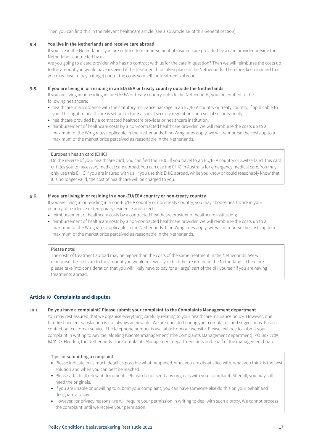Then you can find this in the relevant healthcare article (see also Article 1.8 of this General section).

#### <span id="page-16-0"></span>**9.4 You live in the Netherlands and receive care abroad**

If you live in the Netherlands, you are entitled to reimbursement of insured care provided by a care provider outside the Netherlands contracted by us.

Are you going to a care provider who has no contract with us for the care in question? Then we will reimburse the costs up to the amount you would have received if the treatment had taken place in the Netherlands. Therefore, keep in mind that you may have to pay a (large) part of the costs yourself for treatments abroad.

#### **9.5. If you are living in or residing in an EU/EEA or treaty country outside the Netherlands**

If you are living in or residing in an EU/EEA or treaty country outside the Netherlands, you are entitled to the following healthcare:

- healthcare in accordance with the statutory insurance package in an EU/EEA country or treaty country, if applicable to you. This right to healthcare is set out in the EU social security regulations or a social security treaty;
- healthcare provided by a contracted healthcare provider or healthcare institution;
- reimbursement of healthcare costs by a non-contracted healthcare provider. We will reimburse the costs up to a maximum of the Wmg rates applicable in the Netherlands. If no Wmg rates apply, we will reimburse the costs up to a maximum of the market price perceived as reasonable in the Netherlands.

# European health card (EHIC)

On the reverse of your healthcare card, you can find the EHIC. If you travel to an EU/EEA country or Switzerland, this card entitles you to necessary medical care abroad. You can use the EHIC in Australia for emergency medical care. You may only use this EHIC if you are insured with us. If you use this EHIC abroad, while you know or could reasonably know that it is no longer valid, the cost of healthcare will be charged to you.

# **9.6. If you are living in or residing in a non-EU/EEA country or non-treaty country**

If you are living in or residing in a non-EU/EEA country or non-treaty country, you may choose healthcare in your country of residence or temporary residence and select:

- reimbursement of healthcare costs by a contracted healthcare provider or healthcare institution;
- reimbursement of healthcare costs by a non-contracted healthcare provider. We will reimburse the costs up to a maximum of the Wmg rates applicable in the Netherlands. If no Wmg rates apply, we will reimburse the costs up to a maximum of the market price perceived as reasonable in the Netherlands.

#### Please note!

The costs of treatment abroad may be higher than the costs of the same treatment in the Netherlands. We will reimburse the costs up to the amount you would receive if you had the treatment in the Netherlands. Therefore please take into consideration that you will likely have to pay for a (large) part of the bill yourself if you are having treatments abroad.

## **Article 10 Complaints and disputes**

# **10.1. Do you have a complaint? Please submit your complaint to the Complaints Management department**

You may rest assured that we organise everything carefully relating to your healthcare insurance policy. However, one hundred percent satisfaction is not always achievable. We are open to hearing your complaints and suggestions. Please contact our customer service. The telephone number is available from our website. Please feel free to submit your complaint in writing to Aevitae, afdeling Klachtenmanagement' (the Complaints Management department), PO Box 2705, 6401 DE Heerlen, the Netherlands. The Complaints Management department acts on behalf of the management board.

## Tips for submitting a complaint

- Please indicate in as much detail as possible what happened, what you are dissatisfied with, what you think is the best solution and when you can best be reached.
- Please attach all relevant documents. Please do not send any originals with your complaint. After all, you may still need the originals.
- If you are unable or unwilling to submit your complaint, you can have someone else do this on your behalf and designate a proxy.
- However, for privacy reasons, we will require your permission in writing to deal with such a proxy. We cannot process the complaint until we receive your permission.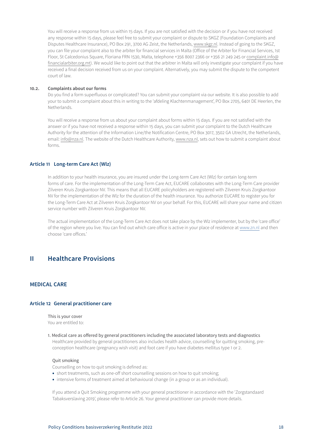<span id="page-17-0"></span>You will receive a response from us within 15 days. If you are not satisfied with the decision or if you have not received any response within 15 days, please feel free to submit your complaint or dispute to SKGZ (Foundation Complaints and Disputes Healthcare Insurance), PO Box 291, 3700 AG Zeist, the Netherlands, www.skgz.nl. Instead of going to the SKGZ, you can file your complaint also to the arbiter for financial services in Malta (Office of the Arbiter for Financial Services, 1st Floor, St Calcedonius Square, Floriana FRN 1530, Malta, telephone +356 8007 2366 or +356 21 249 245 or complaint.info@ financialarbiter.org.mt). We would like to point out that the arbitrer in Malta will only investigate your complaint if you have received a final decision received from us on your complaint. Alternatively, you may submit the dispute to the competent court of law.

## **10.2. Complaints about our forms**

Do you find a form superfluous or complicated? You can submit your complaint via our website. It is also possible to add your to submit a complaint about this in writing to the 'afdeling Klachtenmanagement', PO Box 2705, 6401 DE Heerlen, the Netherlands.

You will receive a response from us about your complaint about forms within 15 days. If you are not satisfied with the answer or if you have not received a response within 15 days, you can submit your complaint to the Dutch Healthcare Authority for the attention of the Information Line/the Notification Centre, PO Box 3017, 3502 GA Utrecht, the Netherlands, email: info@nza.nl. The website of the Dutch Healthcare Authority, www.nza.nl, sets out how to submit a complaint about forms.

# **Article 11 Long-term Care Act (Wlz)**

In addition to your health insurance, you are insured under the Long-term Care Act (Wlz) for certain long-term forms of care. For the implementation of the Long-Term Care Act, EUCARE collaborates with the Long-Term Care provider Zilveren Kruis Zorgkantoor NV. This means that all EUCARE policyholders are registered with Zilveren Kruis Zorgkantoor NV for the implementation of the Wlz for the duration of the health insurance. You authorize EUCARE to register you for the Long-Term Care Act at Zilveren Kruis Zorgkantoor NV on your behalf. For this, EUCARE will share your name and citizen service number with Zilveren Kruis Zorgkantoor NV.

The actual implementation of the Long-Term Care Act does not take place by the Wlz implementer, but by the 'care office' of the region where you live. You can find out which care office is active in your place of residence at [www.zn.nl](http://www.zn.nl) and then choose 'care offices.'

# **II Healthcare Provisions**

# **MEDICAL CARE**

## **Article 12 General practitioner care**

This is your cover You are entitled to:

1. Medical care as offered by general practitioners including the associated laboratory tests and diagnostics Healthcare provided by general practitioners also includes health advice, counselling for quitting smoking, preconception healthcare (pregnancy wish visit) and foot care if you have diabetes mellitus type 1 or 2.

#### Quit smoking

Counselling on how to quit smoking is defined as:

- short treatments, such as one-off short counselling sessions on how to quit smoking;
- intensive forms of treatment aimed at behavioural change (in a group or as an individual).

If you attend a Quit Smoking programme with your general practitioner in accordance with the 'Zorgstandaard Tabaksverslaving 2019', please refer to Article 26. Your general practitioner can provide more details.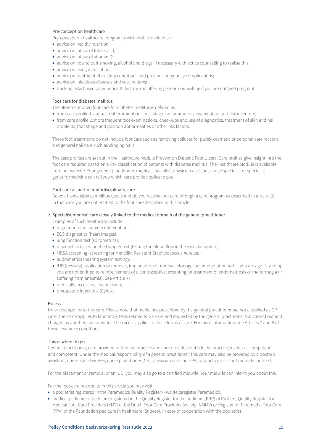# Pre-conception healthcare

Pre-conception healthcare (pregnancy wish visit) is defined as:

- advice on healthy nutrition:
- advice on intake of folate acid:
- advice on intake of vitamin D;
- advice on how to quit smoking, alcohol and drugs, if necessary with active counselling to realise this;
- advice on using medication;
- advice on treatment of existing conditions and previous pregnancy complications;
- advice on infectious diseases and vaccinations;
- tracking risks based on your health history and offering genetic counselling if you are not (yet) pregnant.

# Foot care for diabetes mellitus

The aforementioned foot care for diabetes mellitus is defined as:

- from care profile 1: annual foot examination consisting of an anamnesis, examination and risk inventory;
- from care profile 2: more frequent foot examinations, check-ups and use of diagnostics, treatment of skin and nail problems, foot shape and position abnormalities or other risk factors.

These foot treatments do not include foot care such as removing calluses for purely cosmetic or personal care reasons and general nail care such as clipping nails.

The care profiles are set out in the Healthcare Module Prevention Diabetic Foot Ulcers. Care profiles give insight into the foot care required based on a risk classification of patients with diabetes mellitus. The Healthcare Module is available from our website. Your general practitioner, medical specialist, physician assistant, nurse specialist or specialist geriatric medicine can tell you which care profile applies to you.

## Foot care as part of multidisciplinary care

Do you have diabetes mellitus type 2 and do you receive foot care through a care program as described in article 13? In that case you are not entitled to the foot care described in this article.

## 2. Specialist medical care closely linked to the medical domain of the general practitioner

- Examples of such healthcare include:
- regular or minor surgery interventions;
- ECG diagnostics (heart images);
- lung function test (spirometrics);
- diagnostics based on the Doppler test (testing the blood flow in the vascular system);
- MRSA screening (screening for Meticillin Resistant Staphylococcus Aureus);
- audiometrics (hearing system testing);
- IUD (pessary) application or removal, implantation or removal etonogestrel implantation rod. If you are age 21 and up, you are not entitled to reimbursement of a contraceptive, excepting for treatment of endometriosis or menorrhagia (if suffering from anaemia). See Article 37;
- medically necessary circumcision;
- therapeutic injections (Cyriax).

## Excess

No excess applies to this care. Please note that medicines prescribed by the general practitioner are not classified as GP care. The same applies to laboratory tests related to GP care and requested by the general practitioner but carried out and charged by another care provider. The excess applies to these forms of care. For more information, see Articles 7 and 8 of these insurance conditions.

## This is where to go

General practitioner, care providers within the practice and care providers outside the practice, insofar as competent and competent. Under the medical responsibility of a general practitioner, this care may also be provided by a doctor's assistant, nurse, social worker, nurse practitioner (NP), physician assistant (PA) or practice assistant (Somatic or GGZ).

For the placement or removal of an IUD, you may also go to a certified midwife. Your midwife can inform you about this.

For the foot care referred to in this article you may visit:

- a podiatrist registered in the Paramedics Quality Register (Kwaliteitsregister Paramedici);
- medical pedicure or pedicure registered in the Quality Register for the pedicure (KRP) of ProCert, Quality Register for Medical Foot Care Providers (KMV) of the Dutch Foot Care Providers Society (NMMV) or Register for Paramedic Foot Care (RPV) of the Foundation pedicure in healthcare (Stipezo), in case of cooperation with the podiatrist.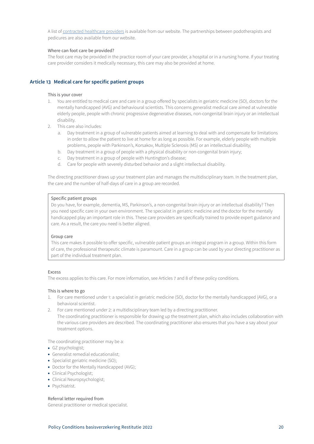<span id="page-19-0"></span>A list of [contracted healthcare providers](https://www3.aevitae.com/zoek-eucare-zorgverlener) is available from our website. The partnerships between podotherapists and pedicures are also available from our website.

# Where can foot care be provided?

The foot care may be provided in the practice room of your care provider, a hospital or in a nursing home. If your treating care provider considers it medically necessary, this care may also be provided at home.

# **Article 13 Medical care for specific patient groups**

## This is your cover

- 1. You are entitled to medical care and care in a group offered by specialists in geriatric medicine (SO), doctors for the mentally handicapped (AVG) and behavioural scientists. This concerns generalist medical care aimed at vulnerable elderly people, people with chronic progressive degenerative diseases, non-congenital brain injury or an intellectual disability.
- 2. This care also includes:
	- a. Day treatment in a group of vulnerable patients aimed at learning to deal with and compensate for limitations in order to allow the patient to live at home for as long as possible. For example, elderly people with multiple problems, people with Parkinson's, Korsakov, Multiple Sclerosis (MS) or an intellectual disability;
	- b. Day treatment in a group of people with a physical disability or non-congenital brain injury;
	- c. Day treatment in a group of people with Huntington's disease;
	- d. Care for people with severely disturbed behavior and a slight intellectual disability.

The directing practitioner draws up your treatment plan and manages the multidisciplinary team. In the treatment plan, the care and the number of half-days of care in a group are recorded.

## Specific patient groups

Do you have, for example, dementia, MS, Parkinson's, a non-congenital brain injury or an intellectual disability? Then you need specific care in your own environment. The specialist in geriatric medicine and the doctor for the mentally handicapped play an important role in this. These care providers are specifically trained to provide expert guidance and care. As a result, the care you need is better aligned.

## Group care

This care makes it possible to offer specific, vulnerable patient groups an integral program in a group. Within this form of care, the professional therapeutic climate is paramount. Care in a group can be used by your directing practitioner as part of the individual treatment plan.

## Excess

The excess applies to this care. For more information, see Articles 7 and 8 of these policy conditions.

## This is where to go

- 1. For care mentioned under 1: a specialist in geriatric medicine (SO), doctor for the mentally handicapped (AVG), or a behavioral scientist.
- 2. For care mentioned under 2: a multidisciplinary team led by a directing practitioner. The coordinating practitioner is responsible for drawing up the treatment plan, which also includes collaboration with the various care providers are described. The coordinating practitioner also ensures that you have a say about your treatment options.

The coordinating practitioner may be a:

- GZ psychologist;
- Generalist remedial educationalist;
- Specialist geriatric medicine (SO);
- Doctor for the Mentally Handicapped (AVG);
- Clinical Psychologist;
- Clinical Neuropsychologist;
- Psychiatrist.

# Referral letter required from

General practitioner or medical specialist.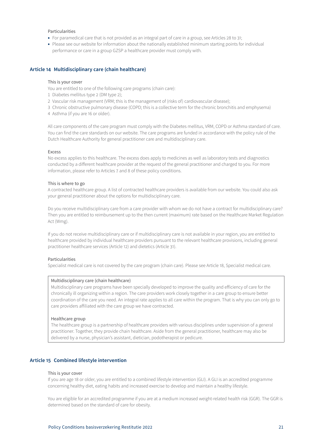## <span id="page-20-0"></span>Particularities

- For paramedical care that is not provided as an integral part of care in a group, see Articles 28 to 31;
- Please see our website for information about the nationally established minimum starting points for individual performance or care in a group GZSP a healthcare provider must comply with.

## **Article 14 Multidisciplinary care (chain healthcare)**

#### This is your cover

You are entitled to one of the following care programs (chain care):

- 1 Diabetes mellitus type 2 (DM type 2);
- 2 Vascular risk management (VRM; this is the management of (risks of) cardiovascular disease);
- 3 Chronic obstructive pulmonary disease (COPD; this is a collective term for the chronic bronchitis and emphysema)
- 4 Asthma (if you are 16 or older).

All care components of the care program must comply with the Diabetes mellitus, VRM, COPD or Asthma standard of care. You can find the care standards on our website. The care programs are funded in accordance with the policy rule of the Dutch Healthcare Authority for general practitioner care and multidisciplinary care.

#### Excess

No excess applies to this healthcare. The excess does apply to medicines as well as laboratory tests and diagnostics conducted by a different healthcare provider at the request of the general practitioner and charged to you. For more information, please refer to Articles 7 and 8 of these policy conditions.

#### This is where to go

A contracted healthcare group. A list of contracted healthcare providers is available from our website. You could also ask your general practitioner about the options for multidisciplinary care.

Do you receive multidisciplinary care from a care provider with whom we do not have a contract for multidisciplinary care? Then you are entitled to reimbursement up to the then current (maximum) rate based on the Healthcare Market Regulation Act (Wmg).

If you do not receive multidisciplinary care or if multidisciplinary care is not available in your region, you are entitled to healthcare provided by individual healthcare providers pursuant to the relevant healthcare provisions, including general practitioner healthcare services (Article 12) and dietetics (Article 31).

## Particularities

Specialist medical care is not covered by the care program (chain care). Please see Article 18, Specialist medical care.

#### Multidisciplinary care (chain healthcare)

Multidisciplinary care programs have been specially developed to improve the quality and efficiency of care for the chronically ill organizing within a region. The care providers work closely together in a care group to ensure better coordination of the care you need. An integral rate applies to all care within the program. That is why you can only go to care providers affiliated with the care group we have contracted.

# Healthcare group

The healthcare group is a partnership of healthcare providers with various disciplines under supervision of a general practitioner. Together, they provide chain healthcare. Aside from the general practitioner, healthcare may also be delivered by a nurse, physician's assistant, dietician, podotherapist or pedicure.

# **Article 15 Combined lifestyle intervention**

#### This is your cover

If you are age 18 or older, you are entitled to a combined lifestyle intervention (GLI). A GLI is an accredited programme concerning healthy diet, eating habits and increased exercise to develop and maintain a healthy lifestyle.

You are eligible for an accredited programme if you are at a medium increased weight-related health risk (GGR). The GGR is determined based on the standard of care for obesity.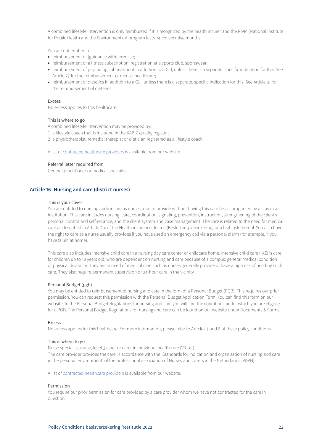<span id="page-21-0"></span>A combined lifestyle intervention is only reimbursed if it is recognized by the health insurer and the RIVM (National Institute for Public Health and the Environment). A program lasts 24 consecutive months.

You are not entitled to:

- reimbursement of (guidance with) exercise;
- reimbursement of a fitness subscription, registration at a sports club, sportswear;
- reimbursement of psychological treatment in addition to a GLI, unless there is a separate, specific indication for this. See Article 27 for the reimbursement of mental healthcare;
- reimbursement of dietetics in addition to a GLI, unless there is a separate, specific indication for this. See Article 31 for the reimbursement of dietetics.

# Excess

No excess applies to this healthcare.

## This is where to go

A combined lifestyle intervention may be provided by:

- 1 a lifestyle coach that is included in the KABIZ quality register;
- 2 a physiotherapist, remedial therapist or dietician registered as a lifestyle coach.

A list of [contracted healthcare providers](https://www3.aevitae.com/zoek-eucare-zorgverlener) is available from our website.

## Referral letter required from

General practitioner or medical specialist.

## **Article 16 Nursing and care (district nurses)**

#### This is your cover

You are entitled to nursing and/or care as nurses tend to provide without having this care be accompanied by a stay in an institution. This care includes nursing, care, coordination, signaling, prevention, instruction, strengthening of the client's personal control and self-reliance, and the client system and case management. The care is related to the need for medical care as described in Article 2.4 of the Health insurance decree (Besluit zorgverzekering) or a high risk thereof. You also have the right to care as a nurse usually provides if you have used an emergency call via a personal alarm (for example, if you have fallen at home).

This care also includes intensive child care in a nursing day care center or childcare home. Intensive child care (IKZ) is care for children up to 18 years old, who are dependent on nursing and care because of a complex general medical condition or physical disability. They are in need of medical care such as nurses generally provide or have a high risk of needing such care. They also require permanent supervision or 24-hour care in the vicinity.

#### Personal Budget (pgb)

You may be entitled to reimbursement of nursing and care in the form of a Personal Budget (PGB). This requires our prior permission. You can request this permission with the Personal Budget Application Form. You can find this form on our website. In the Personal Budget Regulations for nursing and care you will find the conditions under which you are eligible for a PGB. The Personal Budget Regulations for nursing and care can be found on our website under Documents & Forms.

#### Excess

No excess applies for this healthcare. For more information, please refer to Articles 7 and 8 of these policy conditions.

#### This is where to go

Nurse specialist, nurse, level 3 carer or carer in individual health care (VIG-er). The care provider provides the care in accordance with the 'Standards for indication and organization of nursing and care in the personal environment' of the professional association of Nurses and Carers in the Netherlands (V&VN).

A list of [contracted healthcare providers](https://www3.aevitae.com/zoek-eucare-zorgverlener) is available from our website.

#### Permission

You require our prior permission for care provided by a care provider whom we have not contracted for the care in question.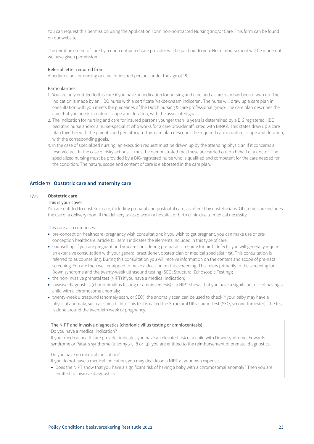<span id="page-22-0"></span>You can request this permission using the Application Form non-nontracted Nursing and/or Care. This form can be found on our website.

The reimbursement of care by a non-contracted care provider will be paid out to you. No reimbursement will be made until we have given permission.

#### Referral letter required from

A pediatrician: for nursing or care for insured persons under the age of 18.

## Particularities

- 1. You are only entitled to this care if you have an indication for nursing and care and a care plan has been drawn up. The indication is made by an HBO nurse with a certificate 'Vakbekwaam indiceren'. The nurse will draw up a care plan in consultation with you meets the guidelines of the Dutch nursing & care professional group. The care plan describes the care that you needs in nature, scope and duration, with the associated goals.
- 2. The indication for nursing and care for insured persons younger than 18 years is determined by a BIG registered HBO pediatric nurse and/or a nurse-specialist who works for a care provider affiliated with BINKZ. This states draw up a care plan together with the parents and pediatrician. This care plan describes the required care in nature, scope and duration, with the corresponding goals.
- 3. In the case of specialized nursing, an execution request must be drawn up by the attending physician if it concerns a reserved act. In the case of risky actions, it must be demonstrated that these are carried out on behalf of a doctor. The specialized nursing must be provided by a BIG-registered nurse who is qualified and competent for the care needed for the condition. The nature, scope and content of care is elaborated in the care plan.

# **Article 17 Obstetric care and maternity care**

# **17.1. Obstetric care**

#### This is your cover

You are entitled to obstetric care, including prenatal and postnatal care, as offered by obstetricians. Obstetric care includes the use of a delivery room if the delivery takes place in a hospital or birth clinic due to medical necessity.

This care also comprises:

- pre-conception healthcare (pregnancy wish consultation): if you wish to get pregnant, you can make use of preconception healthcare. Article 12, item 1 indicates the elements included in this type of care;
- counselling: if you are pregnant and you are considering pre-natal screening for birth defects, you will generally require an extensive consultation with your general practitioner, obstetrician or medical specialist first. This consultation is referred to as counselling. During this consultation you will receive information on the content and scope of pre-natal screening. You are then well equipped to make a decision on this screening. This refers primarily to the screening for Down syndrome and the twenty-week ultrasound testing (SEO; Structural Echoscopic Testing);
- the non-invasive prenatal test (NIPT) if you have a medical indication;
- invasive diagnostics (chorionic villus testing or amniocentesis) if a NIPT shows that you have a significant risk of having a child with a chromosome anomaly;
- twenty-week ultrasound (anomaly scan, or SEO): the anomaly scan can be used to check if your baby may have a physical anomaly, such as spina bifida. This test is called the Structural Ultrasound Test (SEO, second trimester). The test is done around the twentieth week of pregnancy.

#### The NIPT and invasive diagnostics (chorionic villus testing or amniocentesis)

Do you have a medical indication?

If your medical healthcare provider indicates you have an elevated risk of a child with Down syndrome, Edwards syndrome or Patau's syndrome (trisomy 21, 18 or 13), you are entitled to the reimbursement of prenatal diagnostics.

Do you have no medical indication?

- If you do not have a medical indication, you may decide on a NIPT at your own expense.
- Does the NIPT show that you have a significant risk of having a baby with a chromosomal anomaly? Then you are entitled to invasive diagnostics.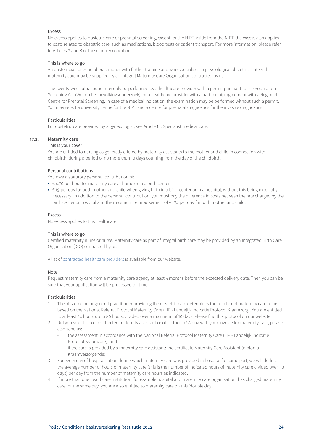No excess applies to obstetric care or prenatal screening, except for the NIPT. Aside from the NIPT, the excess also applies to costs related to obstetric care, such as medications, blood tests or patient transport. For more information, please refer to Articles 7 and 8 of these policy conditions.

## This is where to go

An obstetrician or general practitioner with further training and who specialises in physiological obstetrics. Integral maternity care may be supplied by an Integral Maternity Care Organisation contracted by us.

The twenty-week ultrasound may only be performed by a healthcare provider with a permit pursuant to the Population Screening Act (Wet op het bevolkingsonderzoek), or a healthcare provider with a partnership agreement with a Regional Centre for Prenatal Screening. In case of a medical indication, the examination may be performed without such a permit. You may select a university centre for the NIPT and a centre for pre-natal diagnostics for the invasive diagnostics.

## Particularities

For obstetric care provided by a gynecologist, see Article 18, Specialist medical care.

# **17.2. Maternity care**

# This is your cover

You are entitled to nursing as generally offered by maternity assistants to the mother and child in connection with childbirth, during a period of no more than 10 days counting from the day of the childbirth.

## Personal contributions

You owe a statutory personal contribution of:

- $\bullet \in 4.70$  per hour for maternity care at home or in a birth center;
- € 19 per day for both mother and child when giving birth in a birth center or in a hospital, without this being medically necessary. In addition to the personal contribution, you must pay the difference in costs between the rate charged by the birth center or hospital and the maximum reimbursement of € 134 per day for both mother and child.

#### Excess

No excess applies to this healthcare.

## This is where to go

Certified maternity nurse or nurse. Maternity care as part of integral birth care may be provided by an Integrated Birth Care Organization (IGO) contracted by us.

A list of [contracted healthcare providers](https://www3.aevitae.com/zoek-eucare-zorgverlener) is available from our website.

#### Note

Request maternity care from a maternity care agency at least 5 months before the expected delivery date. Then you can be sure that your application will be processed on time.

# Particularities

- 1 The obstetrician or general practitioner providing the obstetric care determines the number of maternity care hours based on the National Referral Protocol Maternity Care (LIP - Landelijk Indicatie Protocol Kraamzorg). You are entitled to at least 24 hours up to 80 hours, divided over a maximum of 10 days. Please find this protocol on our website.
- 2 Did you select a non-contracted maternity assistant or obstetrician? Along with your invoice for maternity care, please also send us:
	- the assessment in accordance with the National Referral Protocol Maternity Care (LIP Landelijk Indicatie Protocol Kraamzorg); and
	- if the care is provided by a maternity care assistant: the certificate Maternity Care Assistant (diploma Kraamverzorgende).
- 3 For every day of hospitalisation during which maternity care was provided in hospital for some part, we will deduct the average number of hours of maternity care (this is the number of indicated hours of maternity care divided over 10 days) per day from the number of maternity care hours as indicated.
- 4 If more than one healthcare institution (for example hospital and maternity care organisation) has charged maternity care for the same day, you are also entitled to maternity care on this 'double day'.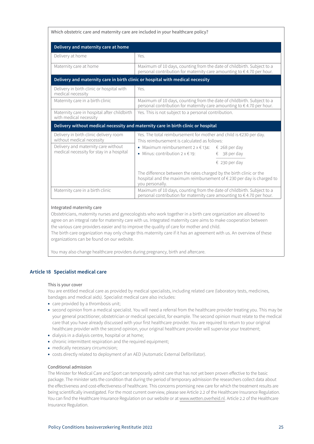<span id="page-24-0"></span>

| Which obstetric care and maternity care are included in your healthcare policy?                                                                        |                                                                                                                                                                                                                                                                         |  |  |  |
|--------------------------------------------------------------------------------------------------------------------------------------------------------|-------------------------------------------------------------------------------------------------------------------------------------------------------------------------------------------------------------------------------------------------------------------------|--|--|--|
| Delivery and maternity care at home                                                                                                                    |                                                                                                                                                                                                                                                                         |  |  |  |
| Delivery at home                                                                                                                                       | Yes.                                                                                                                                                                                                                                                                    |  |  |  |
| Maternity care at home                                                                                                                                 | Maximum of 10 days, counting from the date of childbirth. Subject to a<br>personal contribution for maternity care amounting to €4.70 per hour.                                                                                                                         |  |  |  |
| Delivery and maternity care in birth clinic or hospital with medical necessity                                                                         |                                                                                                                                                                                                                                                                         |  |  |  |
| Delivery in birth clinic or hospital with<br>medical necessity                                                                                         | Yes.                                                                                                                                                                                                                                                                    |  |  |  |
| Maternity care in a birth clinic                                                                                                                       | Maximum of 10 days, counting from the date of childbirth. Subject to a<br>personal contribution for maternity care amounting to $\epsilon$ 4.70 per hour.                                                                                                               |  |  |  |
| Maternity care in hospital after childbirth<br>with medical necessity                                                                                  | Yes. This is not subject to a personal contribution.                                                                                                                                                                                                                    |  |  |  |
|                                                                                                                                                        | Delivery without medical necessity and maternity care in birth clinic or hospital                                                                                                                                                                                       |  |  |  |
| Delivery in birth clinic delivery room<br>without medical necessity<br>Delivery and maternity care without<br>medical necessity for stay in a hospital | Yes. The total reimbursement for mother and child is €230 per day.<br>This reimbursement is calculated as follows:<br>• Maximum reimbursement $2 \times \epsilon$ 134: $\epsilon$ 268 per day<br>• Minus: contribution $2 \times 19$ :<br>€ 38 per day<br>€ 230 per day |  |  |  |
|                                                                                                                                                        | The difference between the rates charged by the birth clinic or the<br>hospital and the maximum reimbursement of €230 per day is charged to<br>you personally.                                                                                                          |  |  |  |
| Maternity care in a birth clinic                                                                                                                       | Maximum of 10 days, counting from the date of childbirth. Subject to a<br>personal contribution for maternity care amounting to $\epsilon$ 4.70 per hour.                                                                                                               |  |  |  |

## Integrated maternity care

Obstetricians, maternity nurses and gynecologists who work together in a birth care organization are allowed to agree on an integral rate for maternity care with us. Integrated maternity care aims to make cooperation between the various care providers easier and to improve the quality of care for mother and child.

The birth care organization may only charge this maternity care if it has an agreement with us. An overview of these organizations can be found on our website.

You may also change healthcare providers during pregnancy, birth and aftercare.

# **Article 18 Specialist medical care**

## This is your cover

You are entitled medical care as provided by medical specialists, including related care (laboratory tests, medicines, bandages and medical aids). Specialist medical care also includes:

- care provided by a thrombosis unit;
- second opinion from a medical specialist. You will need a referral from the healthcare provider treating you. This may be your general practitioner, obstetrician or medical specialist, for example. The second opinion must relate to the medical care that you have already discussed with your first healthcare provider. You are required to return to your original healthcare provider with the second opinion, your original healthcare provider will supervise your treatment;
- dialysis in a dialysis centre, hospital or at home;
- chronic intermittent respiration and the required equipment;
- medically necessary circumcision;
- costs directly related to deployment of an AED (Automatic External Defibrillator).

## Conditional admission

The Minister for Medical Care and Sport can temporarily admit care that has not yet been proven effective to the basic package. The minister sets the condition that during the period of temporary admission the researchers collect data about the effectiveness and cost-effectiveness of healthcare. This concerns promising new care for which the treatment results are being scientifically investigated. For the most current overview, please see Article 2.2 of the Healthcare Insurance Regulation. You can find the Healthcare Insurance Regulation on our website or at www.wetten.overheid.nl. Article 2.2 of the Healthcare Insurance Regulation.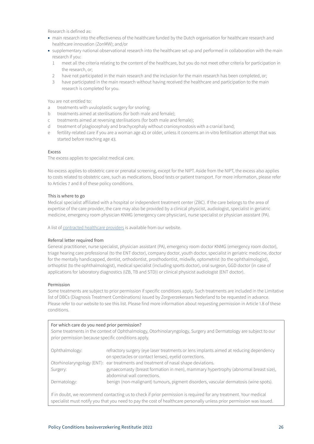Research is defined as:

- main research into the effectiveness of the healthcare funded by the Dutch organisation for healthcare research and healthcare innovation (ZonMW); and/or
- supplementary national observational research into the healthcare set up and performed in collaboration with the main research if you:
	- 1 meet all the criteria relating to the content of the healthcare, but you do not meet other criteria for participation in the research, or:
	- 2 have not participated in the main research and the inclusion for the main research has been completed, or;
	- 3 have participated in the main research without having received the healthcare and participation to the main research is completed for you.

You are not entitled to:

- a treatments with uvuloplastic surgery for snoring;
- b treatments aimed at sterilisations (for both male and female);
- c treatments aimed at reversing sterilisations (for both male and female);
- d treatment of plagiocephaly and brachycephaly without craniosynostosis with a cranial band;
- e fertility-related care if you are a woman age 43 or older, unless it concerns an in-vitro fertilisation attempt that was started before reaching age 43.

## Excess

The excess applies to specialist medical care.

No excess applies to obstetric care or prenatal screening, except for the NIPT. Aside from the NIPT, the excess also applies to costs related to obstetric care, such as medications, blood tests or patient transport. For more information, please refer to Articles 7 and 8 of these policy conditions.

#### This is where to go

Medical specialist affiliated with a hospital or independent treatment center (ZBC). If the care belongs to the area of expertise of the care provider, the care may also be provided by a clinical physicist, audiologist, specialist in geriatric medicine, emergency room physician KNMG (emergency care physician), nurse specialist or physician assistant (PA).

A list of [contracted healthcare providers](https://www3.aevitae.com/zoek-eucare-zorgverlener) is available from our website.

## Referral letter required from

General practitioner, nurse specialist, physician assistant (PA), emergency room doctor KNMG (emergency room doctor), triage hearing care professional (to the ENT doctor), company doctor, youth doctor, specialist in geriatric medicine, doctor for the mentally handicapped, dentist, orthodontist, prosthodontist, midwife, optometrist (to the ophthalmologist), orthoptist (to the ophthalmologist), medical specialist (including sports doctor), oral surgeon, GGD doctor (in case of applications for laboratory diagnostics (IZB, TB and STD)) or clinical physicist audiologist (ENT doctor).

## Permission

Some treatments are subject to prior permission if specific conditions apply. Such treatments are included in the Limitative list of DBCs (Diagnosis Treatment Combinations) issued by Zorgverzekeraars Nederland to be requested in advance. Please refer to our website to see this list. Please find more information about requesting permission in Article 1.8 of these conditions.

# For which care do you need prior permission? Some treatments in the context of Ophthalmology, Otorhinolaryngology, Surgery and Dermatology are subject to our prior permission because specific conditions apply. Ophthalmology: refractory surgery (eye laser treatments or lens implants aimed at reducing dependency on spectacles or contact lenses), eyelid corrections. Otorhinolaryngology (ENT): ear treatments and treatment of nasal shape deviations. Surgery: gynaecomasty (breast formation in men), mammary hypertrophy (abnormal breast size), abdominal wall corrections. Dermatology: benign (non-malignant) tumours, pigment disorders, vascular dermatosis (wine spots). If in doubt, we recommend contacting us to check if prior permission is required for any treatment. Your medical specialist must notify you that you need to pay the cost of healthcare personally unless prior permission was issued.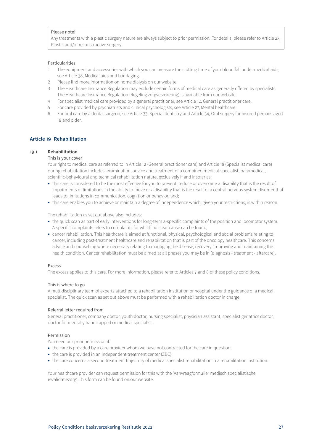# <span id="page-26-0"></span>Please note!

Any treatments with a plastic surgery nature are always subject to prior permission. For details, please refer to Article 23, Plastic and/or reconstructive surgery.

#### Particularities

- 1 The equipment and accessories with which you can measure the clotting time of your blood fall under medical aids, see Article 38, Medical aids and bandaging.
- 2 Please find more information on home dialysis on our website.
- 3 The Healthcare Insurance Regulation may exclude certain forms of medical care as generally offered by specialists. The Healthcare Insurance Regulation (Regeling zorgverzekering) is available from our website.
- 4 For specialist medical care provided by a general practitioner, see Article 12, General practitioner care.
- 5 For care provided by psychiatrists and clinical psychologists, see Article 27, Mental healthcare.
- 6 For oral care by a dental surgeon, see Article 33, Special dentistry and Article 34, Oral surgery for insured persons aged 18 and older.

# **Article 19 Rehabilitation**

## **19.1 Rehabilitation**

#### This is your cover

Your right to medical care as referred to in Article 12 (General practitioner care) and Article 18 (Specialist medical care) during rehabilitation includes: examination, advice and treatment of a combined medical-specialist, paramedical, scientific-behavioural and technical rehabilitation nature, exclusively if and insofar as:

- this care is considered to be the most effective for you to prevent, reduce or overcome a disability that is the result of impairments or limitations in the ability to move or a disability that is the result of a central nervous system disorder that leads to limitations in communication, cognition or behavior, and;
- this care enables you to achieve or maintain a degree of independence which, given your restrictions, is within reason.

The rehabilitation as set out above also includes:

- the quick scan as part of early interventions for long-term a-specific complaints of the position and locomotor system. A-specific complaints refers to complaints for which no clear cause can be found;
- cancer rehabilitation. This healthcare is aimed at functional, physical, psychological and social problems relating to cancer, including post-treatment healthcare and rehabilitation that is part of the oncology healthcare. This concerns advice and counselling where necessary relating to managing the disease, recovery, improving and maintaining the health condition. Cancer rehabilitation must be aimed at all phases you may be in (diagnosis - treatment - aftercare).

#### Excess

The excess applies to this care. For more information, please refer to Articles 7 and 8 of these policy conditions.

#### This is where to go

A multidisciplinary team of experts attached to a rehabilitation institution or hospital under the guidance of a medical specialist. The quick scan as set out above must be performed with a rehabilitation doctor in charge.

# Referral letter required from

General practitioner, company doctor, youth doctor, nursing specialist, physician assistant, specialist geriatrics doctor, doctor for mentally handicapped or medical specialist.

# Permission

You need our prior permission if:

- the care is provided by a care provider whom we have not contracted for the care in question;
- the care is provided in an independent treatment center (ZBC);
- the care concerns a second treatment trajectory of medical specialist rehabilitation in a rehabilitation institution.

Your healthcare provider can request permission for this with the 'Aanvraagformulier medisch specialistische revalidatiezorg'. This form can be found on our website.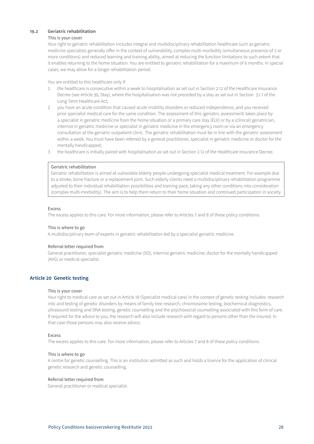# <span id="page-27-0"></span>**19.2 Geriatric rehabilitation**

## This is your cover

Your right to geriatric rehabilitation includes integral and multidisciplinary rehabilitation healthcare such as geriatric medicine specialists generally offer in the context of vulnerability, complex multi-morbidity (simultaneous presence of 2 or more conditions) and reduced learning and training ability, aimed at reducing the function limitations to such extent that it enables returning to the home situation. You are entitled to geriatric rehabilitation for a maximum of 6 months. In special cases, we may allow for a longer rehabilitation period.

You are entitled to this healthcare only if:

- 1 the healthcare is consecutive within a week to hospitalisation as set out in Section 2.12 of the Healthcare Insurance Decree (see Article 39, Stay), where the hospitalisation was not preceded by a stay as set out in Section 3.1.1 of the Long-Term Healthcare Act;
- 2 you have an acute condition that caused acute mobility disorders or reduced independence, and you received prior specialist medical care for the same condition. The assessment of this (geriatric assessment) takes place by a specialist in geriatric medicine from the home situation or a primary care stay (ELV) or by a (clinical) geriatrician, internist in geriatric medicine or specialist in geriatric medicine in the emergency room or via an emergency consultation at the geriatric outpatient clinic. The geriatric rehabilitation must be in line with the geriatric assessment within a week. You must have been referred by a general practitioner, specialist in geriatric medicine or doctor for the mentally handicapped;
- 3 the healthcare is initially paired with hospitalisation as set out in Section 2.12 of the Healthcare Insurance Decree.

# Geriatric rehabilitation

Geriatric rehabilitation is aimed at vulnerable elderly people undergoing specialist medical treatment. For example due to a stroke, bone fracture or a replacement joint. Such elderly clients need a multidisciplinary rehabilitation programme adjusted to their individual rehabilitation possibilities and training pace, taking any other conditions into consideration (complex multi-morbidity). The aim is to help them return to their home situation and continued participation in society.

#### Excess

The excess applies to this care. For more information, please refer to Articles 7 and 8 of these policy conditions.

#### This is where to go

A multidisciplinary team of experts in geriatric rehabilitation led by a specialist geriatric medicine.

## Referral letter required from

General practitioner, specialist geriatric medicine (SO), internist geriatric medicine, doctor for the mentally handicapped (AVG) or medical specialist.

## **Article 20 Genetic testing**

# This is your cover

Your right to medical care as set out in Article 18 (Specialist medical care) in the context of genetic testing includes: research into and testing of genetic disorders by means of family tree research, chromosome testing, biochemical diagnostics, ultrasound testing and DNA testing, genetic counselling and the psychosocial counselling associated with this form of care. If required for the advice to you, the research will also include research with regard to persons other than the insured. In that case those persons may also receive advice.

#### Excess

The excess applies to this care. For more information, please refer to Articles 7 and 8 of these policy conditions.

#### This is where to go

A centre for genetic counselling. This is an institution admitted as such and holds a licence for the application of clinical genetic research and genetic counselling.

## Referral letter required from

General practitioner or medical specialist.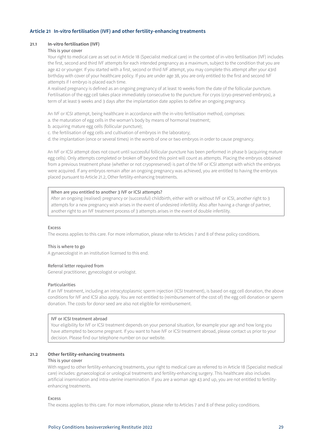# <span id="page-28-0"></span>**Article 21 In-vitro fertilisation (IVF) and other fertility-enhancing treatments**

## **21.1 In-vitro fertilisation (IVF)**

## This is your cover

Your right to medical care as set out in Article 18 (Specialist medical care) in the context of in-vitro fertilisation (IVF) includes the first, second and third IVF attempts for each intended pregnancy as a maximum, subject to the condition that you are age 42 or younger. If you started with a first, second or third IVF attempt, you may complete this attempt after your 43rd birthday with cover of your healthcare policy. If you are under age 38, you are only entitled to the first and second IVF attempts if 1 embryo is placed each time.

A realised pregnancy is defined as an ongoing pregnancy of at least 10 weeks from the date of the follicular puncture. Fertilisation of the egg cell takes place immediately consecutive to the puncture. For cryos (cryo-preserved embryos), a term of at least 9 weeks and 3 days after the implantation date applies to define an ongoing pregnancy.

An IVF or ICSI attempt, being healthcare in accordance with the in-vitro fertilisation method, comprises:

- a. the maturation of egg cells in the woman's body by means of hormonal treatment;
- b. acquiring mature egg cells (follicular puncture);
- c. the fertilisation of egg cells and cultivation of embryos in the laboratory;
- d. the implantation (once or several times) in the womb of one or two embryos in order to cause pregnancy.

An IVF or ICSI attempt does not count until successful follicular puncture has been performed in phase b (acquiring mature egg cells). Only attempts completed or broken off beyond this point will count as attempts. Placing the embryos obtained from a previous treatment phase (whether or not cryopreserved) is part of the IVF or ICSI attempt with which the embryos were acquired. If any embryos remain after an ongoing pregnancy was achieved, you are entitled to having the embryos placed pursuant to Article 21.2, Other fertility-enhancing treatments.

## When are you entitled to another 3 IVF or ICSI attempts?

After an ongoing (realised) pregnancy or (successful) childbirth, either with or without IVF or ICSI, another right to 3 attempts for a new pregnancy wish arises in the event of undesired infertility. Also after having a change of partner, another right to an IVF treatment process of 3 attempts arises in the event of double infertility.

#### Excess

The excess applies to this care. For more information, please refer to Articles 7 and 8 of these policy conditions.

## This is where to go

A gynaecologist in an institution licensed to this end.

## Referral letter required from

General practitioner, gynecologist or urologist.

#### Particularities

If an IVF treatment, including an intracytoplasmic sperm injection (ICSI treatment), is based on egg cell donation, the above conditions for IVF and ICSI also apply. You are not entitled to (reimbursement of the cost of) the egg cell donation or sperm donation. The costs for donor seed are also not eligible for reimbursement.

#### IVF or ICSI treatment abroad

Your eligibility for IVF or ICSI treatment depends on your personal situation, for example your age and how long you have attempted to become pregnant. If you want to have IVF or ICSI treatment abroad, please contact us prior to your decision. Please find our telephone number on our website.

# **21.2 Other fertility-enhancing treatments**

## This is your cover

With regard to other fertility-enhancing treatments, your right to medical care as referred to in Article 18 (Specialist medical care) includes: gynaecological or urological treatments and fertility-enhancing surgery. This healthcare also includes artificial insemination and intra-uterine insemination. If you are a woman age 43 and up, you are not entitled to fertilityenhancing treatments.

Excess

The excess applies to this care. For more information, please refer to Articles 7 and 8 of these policy conditions.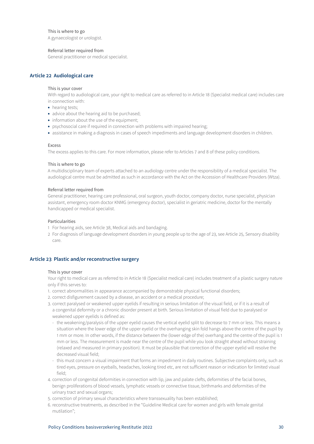# <span id="page-29-0"></span>This is where to go

A gynaecologist or urologist.

# Referral letter required from

General practitioner or medical specialist.

# **Article 22 Audiological care**

#### This is your cover

With regard to audiological care, your right to medical care as referred to in Article 18 (Specialist medical care) includes care in connection with:

- hearing tests;
- advice about the hearing aid to be purchased;
- information about the use of the equipment;
- psychosocial care if required in connection with problems with impaired hearing;
- assistance in making a diagnosis in cases of speech impediments and language development disorders in children.

#### Excess

The excess applies to this care. For more information, please refer to Articles 7 and 8 of these policy conditions.

#### This is where to go

A multidisciplinary team of experts attached to an audiology centre under the responsibility of a medical specialist. The audiological centre must be admitted as such in accordance with the Act on the Accession of Healthcare Providers (Wtza).

## Referral letter required from

General practitioner, hearing care professional, oral surgeon, youth doctor, company doctor, nurse specialist, physician assistant, emergency room doctor KNMG (emergency doctor), specialist in geriatric medicine, doctor for the mentally handicapped or medical specialist.

#### Particularities

- 1 For hearing aids, see Article 38, Medical aids and bandaging.
- 2 For diagnosis of language development disorders in young people up to the age of 23, see Article 25, Sensory disability care.

# **Article 23 Plastic and/or reconstructive surgery**

#### This is your cover

Your right to medical care as referred to in Article 18 (Specialist medical care) includes treatment of a plastic surgery nature only if this serves to:

- 1. correct abnormalities in appearance accompanied by demonstrable physical functional disorders;
- 2. correct disfigurement caused by a disease, an accident or a medical procedure;
- 3. correct paralysed or weakened upper eyelids if resulting in serious limitation of the visual field, or if it is a result of a congenital deformity or a chronic disorder present at birth. Serious limitation of visual field due to paralysed or weakened upper eyelids is defined as:
	- the weakening/paralysis of the upper eyelid causes the vertical eyelid split to decrease to 7 mm or less. This means a situation where the lower edge of the upper eyelid or the overhanging skin fold hangs above the centre of the pupil by 1 mm or more. In other words, if the distance between the (lower edge of the) overhang and the centre of the pupil is 1 mm or less. The measurement is made near the centre of the pupil while you look straight ahead without straining (relaxed and measured in primary position). It must be plausible that correction of the upper eyelid will resolve the decreased visual field;
	- this must concern a visual impairment that forms an impediment in daily routines. Subjective complaints only, such as tired eyes, pressure on eyeballs, headaches, looking tired etc, are not sufficient reason or indication for limited visual field;
- 4. correction of congenital deformities in connection with lip, jaw and palate clefts, deformities of the facial bones, benign proliferations of blood vessels, lymphatic vessels or connective tissue, birthmarks and deformities of the urinary tract and sexual organs;
- 5. correction of primary sexual characteristics where transsexuality has been established;
- 6. reconstructive treatments, as described in the "Guideline Medical care for women and girls with female genital mutilation";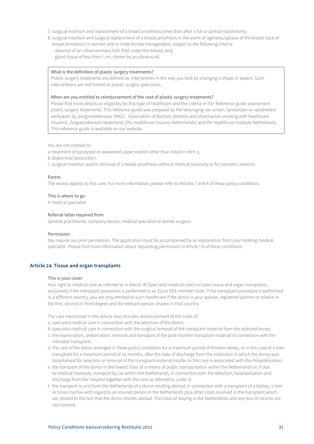- <span id="page-30-0"></span>7. surgical insertion and replacement of a breast prosthesis other than after a full or partial mastectomy;
- 8. surgical insertion and surgical replacement of a breast prosthesis in the event of agenesis/aplasia of the breast (lack of breast formation) in women and in male-female transgenders, subject to the following criteria:
	- absence of an inframammary fold (fold under the breast) and;
	- gland tissue of less than 1 cm, shown by an ultrasound.

## What is the definition of plastic surgery treatments?

Plastic surgery treatments are defined as: intervention in the way you look by changing a shape or aspect. Such interventions are not limited to plastic surgery specialists.

#### When are you entitled to reimbursement of the cost of plastic surgery treatments?

Please find more details on eligibility for this type of healthcare and the criteria in the 'Reference guide assessment plastic surgery treatments'. This reference guide was prepared by the Vereniging van artsen, tandartsen en apothekers werkzaam bij (zorg)verzekeraars (VAGZ - Association of doctors, dentists and pharmacists working with healthcare insurers), Zorgverzekeraars Nederland (ZN, Healthcare Insurers Netherlands) and the Healthcare Institute Netherlands. This reference guide is available on our website.

You are not entitled to:

a treatment of paralysed or weakened upper eyelids other than listed in item 3;

b abdominal liposuction;

c surgical insertion and/or removal of a breast prosthesis without medical necessity or for cosmetic reasons.

#### Excess

The excess applies to this care. For more information, please refer to Articles 7 and 8 of these policy conditions.

#### This is where to go

A medical specialist.

#### Referral letter required from

General practitioner, company doctor, medical specialist or dental surgeon.

#### Permission

You require our prior permission. The application must be accompanied by an explanation from your treating medical specialist. Please find more information about requesting permission in Article 1.8 of these conditions.

## **Article 24 Tissue and organ transplants**

#### This is your cover

Your right to medical care as referred to in Article 18 (Specialist medical care) includes tissue and organ transplants, exclusively if the transplant procedure is performed in an EU or EEA member state. If the transplant procedure is performed in a different country, you are only entitled to such healthcare if the donor is your spouse, registered partner or relative in the first, second or third degree and the relevant person resides in that country.

The care mentioned in this Article also includes reimbursement of the costs of:

- a. specialist medical care in connection with the selection of the donor;
- b. specialist medical care in connection with the surgical removal of the transplant material from the selected donor;
- c. the examination, preservation, removal and transport of the post-mortem transplant material in connection with the intended transplant;
- d. the care of the donor arranged in these policy conditions for a maximum period of thirteen weeks, or in the case of a liver transplant for a maximum period of six months, after the date of discharge from the institution in which the donor was hospitalised for selection or removal of the transplant material insofar as this care is associated with this hospitalisation;
- e. the transport of the donor in the lowest class of a means of public transportation within the Netherlands or, if due to medical necessity, transport by car within the Netherlands, in connection with the selection, hospitalisation and discharge from the hospital together with the care as referred to under d;
- f. the transport to and from the Netherlands of a donor residing abroad, in connection with a transplant of a kidney, a liver or bone marrow with regard to an insured person in the Netherlands plus other costs involved in the transplant which are related to the fact that the donor resides abroad. The costs of staying in the Netherlands and any loss of income are not covered.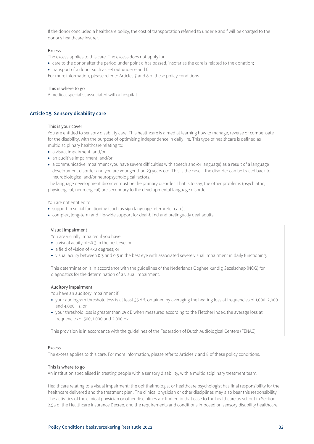<span id="page-31-0"></span>If the donor concluded a healthcare policy, the cost of transportation referred to under e and f will be charged to the donor's healthcare insurer.

## Excess

The excess applies to this care. The excess does not apply for:

- care to the donor after the period under point d has passed, insofar as the care is related to the donation;
- transport of a donor such as set out under e and f.

For more information, please refer to Articles 7 and 8 of these policy conditions.

## This is where to go

A medical specialist associated with a hospital.

# **Article 25 Sensory disability care**

#### This is your cover

You are entitled to sensory disability care. This healthcare is aimed at learning how to manage, reverse or compensate for the disability, with the purpose of optimising independence in daily life. This type of healthcare is defined as multidisciplinary healthcare relating to:

- a visual impairment, and/or
- an auditive impairment, and/or
- a communicative impairment (you have severe difficulties with speech and/or language) as a result of a language development disorder and you are younger than 23 years old. This is the case if the disorder can be traced back to neurobiological and/or neuropsychological factors.

The language development disorder must be the primary disorder. That is to say, the other problems (psychiatric, physiological, neurological) are secondary to the developmental language disorder.

You are not entitled to:

- support in social functioning (such as sign language interpreter care);
- complex, long-term and life-wide support for deaf-blind and prelingually deaf adults.

# Visual impairment

You are visually impaired if you have:

- a visual acuity of <0.3 in the best eye; or
- a field of vision of <30 degrees; or
- visual acuity between 0.3 and 0.5 in the best eye with associated severe visual impairment in daily functioning.

This determination is in accordance with the guidelines of the Nederlands Oogheelkundig Gezelschap (NOG) for diagnostics for the determination of a visual impairment.

#### Auditory impairment

You have an auditory impairment if:

- your audiogram threshold loss is at least 35 dB, obtained by averaging the hearing loss at frequencies of 1,000, 2,000 and 4,000 Hz; or
- your threshold loss is greater than 25 dB when measured according to the Fletcher index, the average loss at frequencies of 500, 1,000 and 2,000 Hz.

This provision is in accordance with the guidelines of the Federation of Dutch Audiological Centers (FENAC).

#### Excess

The excess applies to this care. For more information, please refer to Articles 7 and 8 of these policy conditions.

## This is where to go

An institution specialised in treating people with a sensory disability, with a multidisciplinary treatment team.

Healthcare relating to a visual impairment: the ophthalmologist or healthcare psychologist has final responsibility for the healthcare delivered and the treatment plan. The clinical physician or other disciplines may also bear this responsibility. The activities of the clinical physician or other disciplines are limited in that case to the healthcare as set out in Section 2.5a of the Healthcare Insurance Decree, and the requirements and conditions imposed on sensory disability healthcare.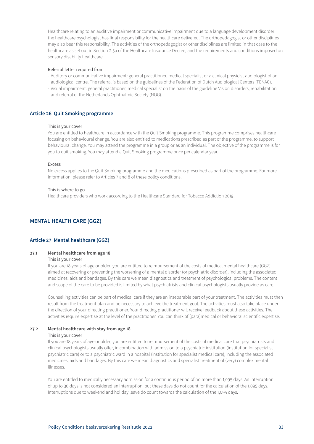<span id="page-32-0"></span>Healthcare relating to an auditive impairment or communicative impairment due to a language development disorder: the healthcare psychologist has final responsibility for the healthcare delivered. The orthopedagogist or other disciplines may also bear this responsibility. The activities of the orthopedagogist or other disciplines are limited in that case to the healthcare as set out in Section 2.5a of the Healthcare Insurance Decree, and the requirements and conditions imposed on sensory disability healthcare.

#### Referral letter required from

- Auditory or communicative impairment: general practitioner, medical specialist or a clinical physicist-audiologist of an audiological centre. The referral is based on the guidelines of the Federation of Dutch Audiological Centers (FENAC).
- Visual impairment: general practitioner, medical specialist on the basis of the guideline Vision disorders, rehabilitation and referral of the Netherlands Ophthalmic Society (NOG).

# **Article 26 Quit Smoking programme**

#### This is your cover

You are entitled to healthcare in accordance with the Quit Smoking programme. This programme comprises healthcare focusing on behavioural change. You are also entitled to medications prescribed as part of the programme, to support behavioural change. You may attend the programme in a group or as an individual. The objective of the programme is for you to quit smoking. You may attend a Quit Smoking programme once per calendar year.

#### Excess

No excess applies to the Quit Smoking programme and the medications prescribed as part of the programme. For more information, please refer to Articles 7 and 8 of these policy conditions.

#### This is where to go

Healthcare providers who work according to the Healthcare Standard for Tobacco Addiction 2019.

# **MENTAL HEALTH CARE (GGZ)**

# **Article 27 Mental healthcare (GGZ)**

#### **27.1 Mental healthcare from age 18**

#### This is your cover

If you are 18 years of age or older, you are entitled to reimbursement of the costs of medical mental healthcare (GGZ) aimed at recovering or preventing the worsening of a mental disorder (or psychiatric disorder), including the associated medicines, aids and bandages. By this care we mean diagnostics and treatment of psychological problems. The content and scope of the care to be provided is limited by what psychiatrists and clinical psychologists usually provide as care.

Counselling activities can be part of medical care if they are an inseparable part of your treatment. The activities must then result from the treatment plan and be necessary to achieve the treatment goal. The activities must also take place under the direction of your directing practitioner. Your directing practitioner will receive feedback about these activities. The activities require expertise at the level of the practitioner. You can think of (para)medical or behavioral scientific expertise.

## **27.2 Mental healthcare with stay from age 18**

#### This is your cover

If you are 18 years of age or older, you are entitled to reimbursement of the costs of medical care that psychiatrists and clinical psychologists usually offer, in combination with admission to a psychiatric institution (institution for specialist psychiatric care) or to a psychiatric ward in a hospital (institution for specialist medical care), including the associated medicines, aids and bandages. By this care we mean diagnostics and specialist treatment of (very) complex mental illnesses.

You are entitled to medically necessary admission for a continuous period of no more than 1,095 days. An interruption of up to 30 days is not considered an interruption, but these days do not count for the calculation of the 1,095 days. Interruptions due to weekend and holiday leave do count towards the calculation of the 1,095 days.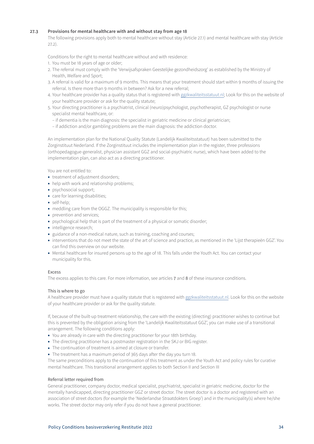# **27.3 Provisions for mental healthcare with and without stay from age 18**

The following provisions apply both to mental healthcare without stay (Article 27.1) and mental healthcare with stay (Article 27.2).

Conditions for the right to mental healthcare without and with residence:

- 1. You must be 18 years of age or older;
- 2. The referral must comply with the 'Verwijsafspraken Geestelijke gezondheidszorg' as established by the Ministry of Health, Welfare and Sport;
- 3. A referral is valid for a maximum of 9 months. This means that your treatment should start within 9 months of issuing the referral. Is there more than 9 months in between? Ask for a new referral;
- 4. Your healthcare provider has a quality status that is registered with ggzkwaliteitsstatuut.nl; Look for this on the website of your healthcare provider or ask for the quality statute;
- 5. Your directing practitioner is a psychiatrist, clinical (neuro)psychologist, psychotherapist, GZ psychologist or nurse specialist mental healthcare, or:
	- if dementia is the main diagnosis: the specialist in geriatric medicine or clinical geriatrician;
	- if addiction and/or gambling problems are the main diagnosis: the addiction doctor.

An implementation plan for the National Quality Statute (Landelijk Kwaliteitsstatuut) has been submitted to the Zorginstituut Nederland. If the Zorginstituut includes the implementation plan in the register, three professions (orthopedagogue-generalist, physician assistant GGZ and social-psychiatric nurse), which have been added to the implementation plan, can also act as a directing practitioner.

You are not entitled to:

- treatment of adjustment disorders;
- help with work and relationship problems;
- psychosocial support;
- care for learning disabilities;
- self-help;
- meddling care from the OGGZ. The municipality is responsible for this;
- prevention and services;
- psychological help that is part of the treatment of a physical or somatic disorder;
- intelligence research;
- guidance of a non-medical nature, such as training, coaching and courses;
- interventions that do not meet the state of the art of science and practice, as mentioned in the 'Lijst therapieën GGZ'. You can find this overview on our website.
- Mental healthcare for insured persons up to the age of 18. This falls under the Youth Act. You can contact your municipality for this.

## Excess

The excess applies to this care. For more information, see articles 7 and 8 of these insurance conditions.

## This is where to go

A healthcare provider must have a quality statute that is registered with ggzkwaliteitsstatuut.nl. Look for this on the website of your healthcare provider or ask for the quality statute.

If, because of the built-up treatment relationship, the care with the existing (directing) practitioner wishes to continue but this is prevented by the obligation arising from the 'Landelijk Kwaliteitsstatuut GGZ', you can make use of a transitional arrangement. The following conditions apply:

- You are already in care with the directing practitioner for your 18th birthday.
- The directing practitioner has a postmaster registration in the SKJ or BIG register.
- The continuation of treatment is aimed at closure or transfer.
- The treatment has a maximum period of 365 days after the day you turn 18.

The same preconditions apply to the continuation of this treatment as under the Youth Act and policy rules for curative mental healthcare. This transitional arrangement applies to both Section II and Section III

## Referral letter required from

General practitioner, company doctor, medical specialist, psychiatrist, specialist in geriatric medicine, doctor for the mentally handicapped, directing practitioner GGZ or street doctor. The street doctor is a doctor and registered with an association of street doctors (for example the 'Nederlandse Straatdokters Groep') and in the municipality(s) where he/she works. The street doctor may only refer if you do not have a general practitioner.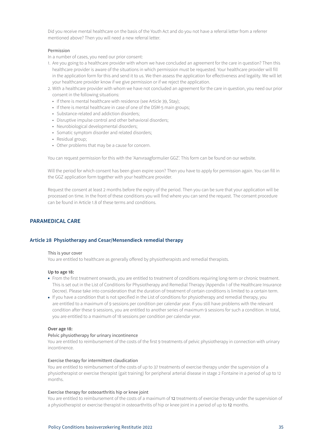<span id="page-34-0"></span>Did you receive mental healthcare on the basis of the Youth Act and do you not have a referral letter from a referrer mentioned above? Then you will need a new referral letter.

#### Permission

In a number of cases, you need our prior consent:

- 1. Are you going to a healthcare provider with whom we have concluded an agreement for the care in question? Then this healthcare provider is aware of the situations in which permission must be requested. Your healthcare provider will fill in the application form for this and send it to us. We then assess the application for effectiveness and legality. We will let your healthcare provider know if we give permission or if we reject the application.
- 2. With a healthcare provider with whom we have not concluded an agreement for the care in question, you need our prior consent in the following situations:
	- If there is mental healthcare with residence (see Article 39, Stay);
	- If there is mental healthcare in case of one of the DSM-5 main groups;
	- Substance-related and addiction disorders;
	- Disruptive impulse control and other behavioral disorders;
	- Neurobiological developmental disorders;
	- Somatic symptom disorder and related disorders;
	- Residual group;
	- Other problems that may be a cause for concern.

You can request permission for this with the 'Aanvraagformulier GGZ'. This form can be found on our website.

Will the period for which consent has been given expire soon? Then you have to apply for permission again. You can fill in the GGZ application form together with your healthcare provider.

Request the consent at least 2 months before the expiry of the period. Then you can be sure that your application will be processed on time. In the front of these conditions you will find where you can send the request. The consent procedure can be found in Article 1.8 of these terms and conditions.

# **PARAMEDICAL CARE**

# **Article 28 Physiotherapy and Cesar/Mensendieck remedial therapy**

#### This is your cover

You are entitled to healthcare as generally offered by physiotherapists and remedial therapists.

#### **Up to age 18:**

- From the first treatment onwards, you are entitled to treatment of conditions requiring long-term or chronic treatment. This is set out in the List of Conditions for Physiotherapy and Remedial Therapy (Appendix 1 of the Healthcare Insurance Decree). Please take into consideration that the duration of treatment of certain conditions is limited to a certain term.
- If you have a condition that is not specified in the List of conditions for physiotherapy and remedial therapy, you are entitled to a maximum of 9 sessions per condition per calendar year. If you still have problems with the relevant condition after these 9 sessions, you are entitled to another series of maximum 9 sessions for such a condition. In total, you are entitled to a maximum of 18 sessions per condition per calendar year.

## **Over age 18:**

## Pelvic physiotherapy for urinary incontinence

You are entitled to reimbursement of the costs of the first 9 treatments of pelvic physiotherapy in connection with urinary incontinence.

# Exercise therapy for intermittent claudication

You are entitled to reimbursement of the costs of up to 37 treatments of exercise therapy under the supervision of a physiotherapist or exercise therapist (gait training) for peripheral arterial disease in stage 2 Fontaine in a period of up to 12 months.

#### Exercise therapy for osteoarthritis hip or knee joint

You are entitled to reimbursement of the costs of a maximum of 12 treatments of exercise therapy under the supervision of a physiotherapist or exercise therapist in osteoarthritis of hip or knee joint in a period of up to 12 months.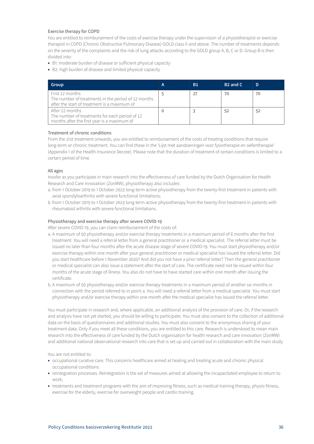# Exercise therapy for COPD

You are entitled to reimbursement of the costs of exercise therapy under the supervision of a physiotherapist or exercise therapist in COPD (Chronic Obstructive Pulmonary Disease) GOLD class II and above. The number of treatments depends on the severity of the complaints and the risk of lung attacks according to the GOLD group A, B, C or D. Group B is then divided into:

- B1: moderate burden of disease or sufficient physical capacity
- B2: high burden of disease and limited physical capacity

| Group                                                                                                                  | А | Β1 | B <sub>2</sub> and C | D  |
|------------------------------------------------------------------------------------------------------------------------|---|----|----------------------|----|
| First 12 months<br>The number of treatments in the period of 12 months<br>after the start of treatment is a maximum of |   | 27 | 70                   | 70 |
| After 12 months<br>The number of treatments for each period of 12<br>months after the first year is a maximum of       |   |    | 52                   | 52 |

## Treatment of chronic conditions

From the 21st treatment onwards, you are entitled to reimbursement of the costs of treating conditions that require long-term or chronic treatment. You can find these in the 'Lijst met aandoeningen voor fysiotherapie en oefentherapie' (Appendix 1 of the Health Insurance Decree). Please note that the duration of treatment of certain conditions is limited to a certain period of time.

## All ages

Insofar as you participate in main research into the effectiveness of care funded by the Dutch Organisation for Health Research and Care Innovation (ZonMW), physiotherapy also includes:

- a. from 1 October 2019 to 1 October 2023 long-term active physiotherapy from the twenty-first treatment in patients with axial spondyloarthritis with severe functional limitations;
- b. from 1 October 2019 to 1 October 2023 long-term active physiotherapy from the twenty-first treatment in patients with rheumatoid arthritis with severe functional limitations.

## Physiotherapy and exercise therapy after severe COVID-19

After severe COVID-19, you can claim reimbursement of the costs of:

- a. A maximum of 50 physiotherapy and/or exercise therapy treatments in a maximum period of 6 months after the first treatment. You will need a referral letter from a general practitioner or a medical specialist. The referral letter must be issued no later than four months after the acute disease stage of severe COVID-19. You must start physiotherapy and/or exercise therapy within one month after your general practitioner or medical specialist has issued the referral letter. Did you start healthcare before 1 November 2020? And did you not have a prior referral letter? Then the general practitioner or medical specialist can also issue a statement after the start of care. The certificate need not be issued within four months of the acute stage of illness. You also do not have to have started care within one month after issuing the certificate.
- b. A maximum of 50 physiotherapy and/or exercise therapy treatments in a maximum period of another six months in connection with the period referred to in point a. You will need a referral letter from a medical specialist. You must start physiotherapy and/or exercise therapy within one month after the medical specialist has issued the referral letter.

You must participate in research and, where applicable, an additional analysis of the provision of care. Or, if the research and analysis have not yet started, you should be willing to participate. You must also consent to the collection of additional data on the basis of questionnaires and additional studies. You must also consent to the anonymous sharing of your treatment data. Only if you meet all these conditions, you are entitled to this care. Research is understood to mean main research into the effectiveness of care funded by the Dutch organisation for health research and care innovation (ZonMW) and additional national observational research into care that is set up and carried out in collaboration with the main study.

You are not entitled to:

- occupational curative care. This concerns healthcare aimed at healing and treating acute and chronic physical occupational conditions
- reintegration processes. Reintegration is the set of measures aimed at allowing the incapacitated employee to return to work;
- treatments and treatment programs with the aim of improving fitness, such as medical training therapy, physio fitness, exercise for the elderly, exercise for overweight people and cardio training.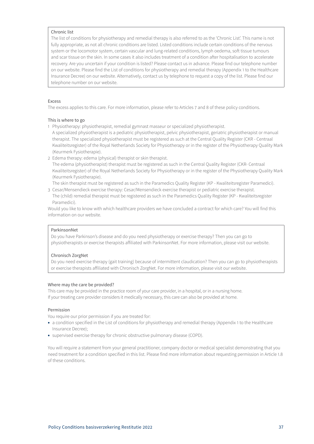# Chronic list

The list of conditions for physiotherapy and remedial therapy is also referred to as the 'Chronic List'. This name is not fully appropriate, as not all chronic conditions are listed. Listed conditions include certain conditions of the nervous system or the locomotor system, certain vascular and lung-related conditions, lymph oedema, soft tissue tumours and scar tissue on the skin. In some cases it also includes treatment of a condition after hospitalisation to accelerate recovery. Are you uncertain if your condition is listed? Please contact us in advance. Please find our telephone number on our website. Please find the List of conditions for physiotherapy and remedial therapy (Appendix 1 to the Healthcare Insurance Decree) on our website. Alternatively, contact us by telephone to request a copy of the list. Please find our telephone number on our website.

## Excess

The excess applies to this care. For more information, please refer to Articles 7 and 8 of these policy conditions.

## This is where to go

- 1 Physiotherapy: physiotherapist, remedial gymnast masseur or specialized physiotherapist. A specialized physiotherapist is a pediatric physiotherapist, pelvic physiotherapist, geriatric physiotherapist or manual therapist. The specialized physiotherapist must be registered as such at the Central Quality Register (CKR - Centraal Kwaliteitsregister) of the Royal Netherlands Society for Physiotherapy or in the register of the Physiotherapy Quality Mark (Keurmerk Fysiotherapie).
- 2 Edema therapy: edema (physical) therapist or skin therapist.

The edema (physiotherapist) therapist must be registered as such in the Central Quality Register (CKR- Centraal Kwaliteitsregister) of the Royal Netherlands Society for Physiotherapy or in the register of the Physiotherapy Quality Mark (Keurmerk Fysiotherapie).

The skin therapist must be registered as such in the Paramedics Quality Register (KP - Kwaliteitsregister Paramedici).

3 Cesar/Mensendieck exercise therapy: Cesar/Mensendieck exercise therapist or pediatric exercise therapist. The (child) remedial therapist must be registered as such in the Paramedics Quality Register (KP - Kwaliteitsregister Paramedici).

Would you like to know with which healthcare providers we have concluded a contract for which care? You will find this information on our website.

# ParkinsonNet

Do you have Parkinson's disease and do you need physiotherapy or exercise therapy? Then you can go to physiotherapists or exercise therapists affiliated with ParkinsonNet. For more information, please visit our website.

# Chronisch ZorgNet

Do you need exercise therapy (gait training) because of intermittent claudication? Then you can go to physiotherapists or exercise therapists affiliated with Chronisch ZorgNet. For more information, please visit our website.

## Where may the care be provided?

This care may be provided in the practice room of your care provider, in a hospital, or in a nursing home. If your treating care provider considers it medically necessary, this care can also be provided at home.

## Permission

You require our prior permission if you are treated for:

- a condition specified in the List of conditions for physiotherapy and remedial therapy (Appendix 1 to the Healthcare Insurance Decree);
- supervised exercise therapy for chronic obstructive pulmonary disease (COPD).

You will require a statement from your general practitioner, company doctor or medical specialist demonstrating that you need treatment for a condition specified in this list. Please find more information about requesting permission in Article 1.8 of these conditions.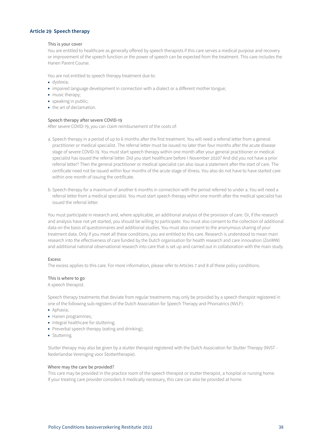# <span id="page-37-0"></span>**Article 29 Speech therapy**

## This is your cover

You are entitled to healthcare as generally offered by speech therapists if this care serves a medical purpose and recovery or improvement of the speech function or the power of speech can be expected from the treatment. This care includes the Hanen Parent Course.

You are not entitled to speech therapy treatment due to:

- dyslexia;
- impaired language development in connection with a dialect or a different mother tongue;
- music therapy;
- speaking in public;
- the art of declamation.

# Speech therapy after severe COVID-19

After severe COVID-19, you can claim reimbursement of the costs of:

- a. Speech therapy in a period of up to 6 months after the first treatment. You will need a referral letter from a general practitioner or medical specialist. The referral letter must be issued no later than four months after the acute disease stage of severe COVID-19. You must start speech therapy within one month after your general practitioner or medical specialist has issued the referral letter. Did you start healthcare before 1 November 2020? And did you not have a prior referral letter? Then the general practitioner or medical specialist can also issue a statement after the start of care. The certificate need not be issued within four months of the acute stage of illness. You also do not have to have started care within one month of issuing the certificate.
- b. Speech therapy for a maximum of another 6 months in connection with the period referred to under a. You will need a referral letter from a medical specialist. You must start speech therapy within one month after the medical specialist has issued the referral letter.

You must participate in research and, where applicable, an additional analysis of the provision of care. Or, if the research and analysis have not yet started, you should be willing to participate. You must also consent to the collection of additional data on the basis of questionnaires and additional studies. You must also consent to the anonymous sharing of your treatment data. Only if you meet all these conditions, you are entitled to this care. Research is understood to mean main research into the effectiveness of care funded by the Dutch organisation for health research and care innovation (ZonMW) and additional national observational research into care that is set up and carried out in collaboration with the main study.

#### Excess

The excess applies to this care. For more information, please refer to Articles 7 and 8 of these policy conditions.

## This is where to go

A speech therapist.

Speech therapy treatments that deviate from regular treatments may only be provided by a speech therapist registered in one of the following sub-registers of the Dutch Association for Speech Therapy and Phoniatrics (NVLF):

- Aphasia;
- Hanen programmes;
- Integral healthcare for stuttering;
- Preverbal speech therapy (eating and drinking);
- Stuttering.

Stutter therapy may also be given by a stutter therapist registered with the Dutch Association for Stutter Therapy (NVST - Nederlandse Vereniging voor Stottertherapie).

#### Where may the care be provided?

This care may be provided in the practice room of the speech therapist or stutter therapist, a hospital or nursing home. If your treating care provider considers it medically necessary, this care can also be provided at home.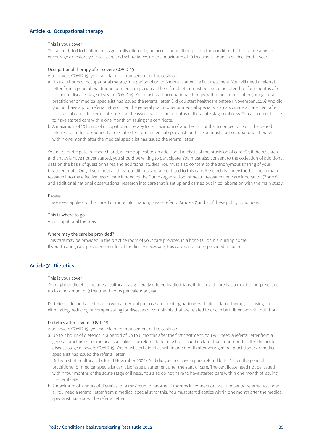# <span id="page-38-0"></span>**Article 30 Occupational therapy**

#### This is your cover

You are entitled to healthcare as generally offered by an occupational therapist on the condition that this care aims to encourage or restore your self-care and self-reliance, up to a maximum of 10 treatment hours in each calendar year.

#### Occupational therapy after severe COVID-19

After severe COVID-19, you can claim reimbursement of the costs of:

- a. Up to 10 hours of occupational therapy in a period of up to 6 months after the first treatment. You will need a referral letter from a general practitioner or medical specialist. The referral letter must be issued no later than four months after the acute disease stage of severe COVID-19. You must start occupational therapy within one month after your general practitioner or medical specialist has issued the referral letter. Did you start healthcare before 1 November 2020? And did you not have a prior referral letter? Then the general practitioner or medical specialist can also issue a statement after the start of care. The certificate need not be issued within four months of the acute stage of illness. You also do not have to have started care within one month of issuing the certificate.
- b. A maximum of 10 hours of occupational therapy for a maximum of another 6 months in connection with the period referred to under a. You need a referral letter from a medical specialist for this. You must start occupational therapy within one month after the medical specialist has issued the referral letter.

You must participate in research and, where applicable, an additional analysis of the provision of care. Or, if the research and analysis have not yet started, you should be willing to participate. You must also consent to the collection of additional data on the basis of questionnaires and additional studies. You must also consent to the anonymous sharing of your treatment data. Only if you meet all these conditions, you are entitled to this care. Research is understood to mean main research into the effectiveness of care funded by the Dutch organisation for health research and care innovation (ZonMW) and additional national observational research into care that is set up and carried out in collaboration with the main study.

#### Excess

The excess applies to this care. For more information, please refer to Articles 7 and 8 of these policy conditions.

#### This is where to go

An occupational therapist.

## Where may the care be provided?

This care may be provided in the practice room of your care provider, in a hospital, or in a nursing home. If your treating care provider considers it medically necessary, this care can also be provided at home.

# **Article 31 Dietetics**

#### This is your cover

Your right to dietetics includes healthcare as generally offered by dieticians, if this healthcare has a medical purpose, and up to a maximum of 3 treatment hours per calendar year.

Dietetics is defined as education with a medical purpose and treating patients with diet-related therapy, focusing on eliminating, reducing or compensating for diseases or complaints that are related to or can be influenced with nutrition.

#### Dietetics after severe COVID-19

After severe COVID-19, you can claim reimbursement of the costs of:

a. Up to 7 hours of dietetics in a period of up to 6 months after the first treatment. You will need a referral letter from a general practitioner or medical specialist. The referral letter must be issued no later than four months after the acute disease stage of severe COVID-19. You must start dietetics within one month after your general practitioner or medical specialist has issued the referral letter.

Did you start healthcare before 1 November 2020? And did you not have a prior referral letter? Then the general practitioner or medical specialist can also issue a statement after the start of care. The certificate need not be issued within four months of the acute stage of illness. You also do not have to have started care within one month of issuing the certificate.

b. A maximum of 7 hours of dietetics for a maximum of another 6 months in connection with the period referred to under a. You need a referral letter from a medical specialist for this. You must start dietetics within one month after the medical specialist has issued the referral letter.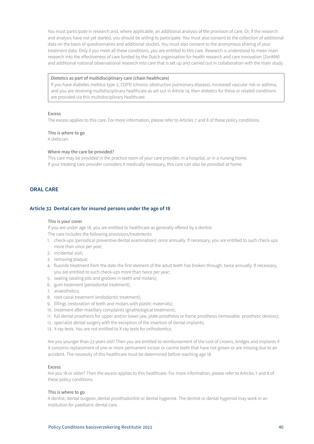<span id="page-39-0"></span>You must participate in research and, where applicable, an additional analysis of the provision of care. Or, if the research and analysis have not yet started, you should be willing to participate. You must also consent to the collection of additional data on the basis of questionnaires and additional studies. You must also consent to the anonymous sharing of your treatment data. Only if you meet all these conditions, you are entitled to this care. Research is understood to mean main research into the effectiveness of care funded by the Dutch organisation for health research and care innovation (ZonMW) and additional national observational research into care that is set up and carried out in collaboration with the main study.

#### Dietetics as part of multidisciplinary care (chain healthcare)

If you have diabetes mellitus type 2, COPD (chronic obstructive pulmonary disease), increased vascular risk or asthma, and you are receiving multidisciplinary healthcare as set out in Article 14, then dietetics for these or related conditions are provided via this multidisciplinary healthcare.

#### Excess

The excess applies to this care. For more information, please refer to Articles 7 and 8 of these policy conditions.

#### This is where to go

A dietician.

# Where may the care be provided?

This care may be provided in the practice room of your care provider, in a hospital, or in a nursing home. If your treating care provider considers it medically necessary, this care can also be provided at home.

# **ORAL CARE**

#### **Article 32 Dental care for insured persons under the age of 18**

#### This is your cover

If you are under age 18, you are entitled to healthcare as generally offered by a dentist. The care includes the following provisions/treatments:

- 1. check-ups (periodical preventive dental examination): once annually. If necessary, you are entitled to such check-ups more than once per year;
- 2. incidental visit;
- 3. removing plaque;
- 4. fluoride treatment from the date the first element of the adult teeth has broken through: twice annually. If necessary, you are entitled to such check-ups more than twice per year;
- 5. sealing (sealing pits and grooves in teeth and molars);
- 6. gum treatment (periodontal treatment);
- 7. anaesthetics;
- 8. root canal treatment (endodontic treatment);
- 9. fillings (restoration of teeth and molars with plastic materials);
- 10. treatment after maxillary complaints (gnathological treatment);
- 11. full dental prosthesis for upper and/or lower jaw, plate prosthesis or frame prosthesis (removable prosthetic devices);
- 12. specialist dental surgery with the exception of the insertion of dental implants;
- 13. X-ray tests. You are not entitled to X-ray tests for orthodontics.

Are you younger than 23 years old? Then you are entitled to reimbursement of the cost of crowns, bridges and implants if it concerns replacement of one or more permanent incisor or canine teeth that have not grown or are missing due to an accident. The necessity of this healthcare must be determined before reaching age 18.

## Excess

Are you 18 or older? Then the excess applies to this healthcare. For more information, please refer to Articles 7 and 8 of these policy conditions.

#### This is where to go

A dentist, dental surgeon, dental prosthodontist or dental hygienist. The dentist or dental hygienist may work in an institution for paediatric dental care.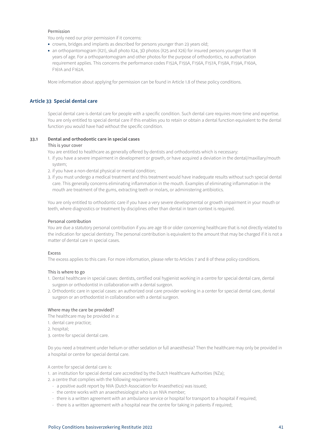# <span id="page-40-0"></span>Permission

You only need our prior permission if it concerns:

- crowns, bridges and implants as described for persons younger than 23 years old;
- an orthopantomogram (X21), skull photo X24, 3D photos (X25 and X26) for insured persons younger than 18 years of age. For a orthopantomogram and other photos for the purpose of orthodontics, no authorization requirement applies. This concerns the performance codes F152A, F155A, F156A, F157A, F158A, F159A, F160A, F161A and F162A.

More information about applying for permission can be found in Article 1.8 of these policy conditions.

# **Article 33 Special dental care**

Special dental care is dental care for people with a specific condition. Such dental care requires more time and expertise. You are only entitled to special dental care if this enables you to retain or obtain a dental function equivalent to the dental function you would have had without the specific condition.

## **33.1 Dental and orthodontic care in special cases**

#### This is your cover

You are entitled to healthcare as generally offered by dentists and orthodontists which is necessary:

- 1. if you have a severe impairment in development or growth, or have acquired a deviation in the dental/maxillary/mouth system;
- 2. if you have a non-dental physical or mental condition;
- 3. if you must undergo a medical treatment and this treatment would have inadequate results without such special dental care. This generally concerns eliminating inflammation in the mouth. Examples of eliminating inflammation in the mouth are treatment of the gums, extracting teeth or molars, or administering antibiotics.

You are only entitled to orthodontic care if you have a very severe developmental or growth impairment in your mouth or teeth, where diagnostics or treatment by disciplines other than dental in team context is required.

#### Personal contribution

You are due a statutory personal contribution if you are age 18 or older concerning healthcare that is not directly related to the indication for special dentistry. The personal contribution is equivalent to the amount that may be charged if it is not a matter of dental care in special cases.

#### Excess

The excess applies to this care. For more information, please refer to Articles 7 and 8 of these policy conditions.

#### This is where to go

- 1. Dental healthcare in special cases: dentists, certified oral hygienist working in a centre for special dental care, dental surgeon or orthodontist in collaboration with a dental surgeon.
- 2. Orthodontic care in special cases: an authorized oral care provider working in a center for special dental care, dental surgeon or an orthodontist in collaboration with a dental surgeon.

## Where may the care be provided?

The healthcare may be provided in a:

- 1. dental care practice;
- 2. hospital;
- 3. centre for special dental care.

Do you need a treatment under helium or other sedation or full anaesthesia? Then the healthcare may only be provided in a hospital or centre for special dental care.

A centre for special dental care is:

1. an institution for special dental care accredited by the Dutch Healthcare Authorities (NZa);

2. a centre that complies with the following requirements:

- a positive audit report by NVA (Dutch Association for Anaesthetics) was issued;
- the centre works with an anaesthesiologist who is an NVA member;
- there is a written agreement with an ambulance service or hospital for transport to a hospital if required;
- there is a written agreement with a hospital near the centre for taking in patients if required;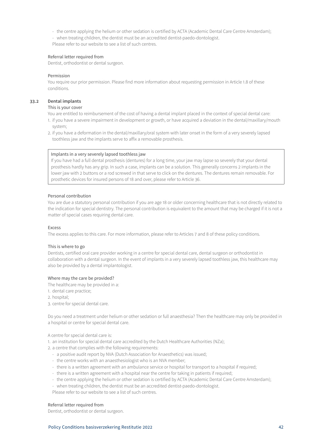- the centre applying the helium or other sedation is certified by ACTA (Academic Dental Care Centre Amsterdam);
- when treating children, the dentist must be an accredited dentist-paedo-dontologist.

Please refer to our website to see a list of such centres.

# Referral letter required from

Dentist, orthodontist or dental surgeon.

## Permission

You require our prior permission. Please find more information about requesting permission in Article 1.8 of these conditions.

# **33.2 Dental implants**

## This is your cover

You are entitled to reimbursement of the cost of having a dental implant placed in the context of special dental care:

- 1. if you have a severe impairment in development or growth, or have acquired a deviation in the dental/maxillary/mouth system;
- 2. if you have a deformation in the dental/maxillary/oral system with later onset in the form of a very severely lapsed toothless jaw and the implants serve to affix a removable prosthesis.

# Implants in a very severely lapsed toothless jaw

If you have had a full dental prosthesis (dentures) for a long time, your jaw may lapse so severely that your dental prosthesis hardly has any grip. In such a case, implants can be a solution. This generally concerns 2 implants in the lower jaw with 2 buttons or a rod screwed in that serve to click on the dentures. The dentures remain removable. For prosthetic devices for insured persons of 18 and over, please refer to Article 36.

# Personal contribution

You are due a statutory personal contribution if you are age 18 or older concerning healthcare that is not directly related to the indication for special dentistry. The personal contribution is equivalent to the amount that may be charged if it is not a matter of special cases requiring dental care.

## Excess

The excess applies to this care. For more information, please refer to Articles 7 and 8 of these policy conditions.

## This is where to go

Dentists, certified oral care provider working in a centre for special dental care, dental surgeon or orthodontist in collaboration with a dental surgeon. In the event of implants in a very severely lapsed toothless jaw, this healthcare may also be provided by a dental implantologist.

## Where may the care be provided?

- The healthcare may be provided in a:
- 1. dental care practice;
- 2. hospital;
- 3. centre for special dental care.

Do you need a treatment under helium or other sedation or full anaesthesia? Then the healthcare may only be provided in a hospital or centre for special dental care.

# A centre for special dental care is:

- 1. an institution for special dental care accredited by the Dutch Healthcare Authorities (NZa);
- 2. a centre that complies with the following requirements:
	- a positive audit report by NVA (Dutch Association for Anaesthetics) was issued;
	- the centre works with an anaesthesiologist who is an NVA member;
	- there is a written agreement with an ambulance service or hospital for transport to a hospital if required;
	- there is a written agreement with a hospital near the centre for taking in patients if required;
	- the centre applying the helium or other sedation is certified by ACTA (Academic Dental Care Centre Amsterdam);
	- when treating children, the dentist must be an accredited dentist-paedo-dontologist.
	- Please refer to our website to see a list of such centres.

# Referral letter required from

Dentist, orthodontist or dental surgeon.

## Policy Conditions basisverzekering Restitutie 2022 42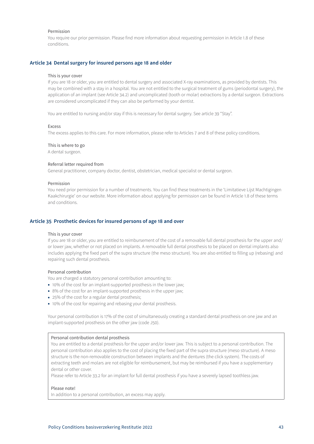## <span id="page-42-0"></span>Permission

You require our prior permission. Please find more information about requesting permission in Article 1.8 of these conditions.

## **Article 34 Dental surgery for insured persons age 18 and older**

#### This is your cover

If you are 18 or older, you are entitled to dental surgery and associated X-ray examinations, as provided by dentists. This may be combined with a stay in a hospital. You are not entitled to the surgical treatment of gums (periodontal surgery), the application of an implant (see Article 34.2) and uncomplicated (tooth or molar) extractions by a dental surgeon. Extractions are considered uncomplicated if they can also be performed by your dentist.

You are entitled to nursing and/or stay if this is necessary for dental surgery. See article 39 "Stay".

#### Excess

The excess applies to this care. For more information, please refer to Articles 7 and 8 of these policy conditions.

#### This is where to go

A dental surgeon.

## Referral letter required from

General practitioner, company doctor, dentist, obstetrician, medical specialist or dental surgeon.

#### Permission

You need prior permission for a number of treatments. You can find these treatments in the 'Limitatieve Lijst Machtigingen Kaakchirurgie' on our website. More information about applying for permission can be found in Article 1.8 of these terms and conditions.

# **Article 35 Prosthetic devices for insured persons of age 18 and over**

#### This is your cover

If you are 18 or older, you are entitled to reimbursement of the cost of a removable full dental prosthesis for the upper and/ or lower jaw, whether or not placed on implants. A removable full dental prosthesis to be placed on dental implants also includes applying the fixed part of the supra structure (the meso structure). You are also entitled to filling up (rebasing) and repairing such dental prosthesis.

## Personal contribution

You are charged a statutory personal contribution amounting to:

- 10% of the cost for an implant-supported prosthesis in the lower jaw;
- 8% of the cost for an implant-supported prosthesis in the upper jaw;
- 25% of the cost for a regular dental prosthesis;
- 10% of the cost for repairing and rebasing your dental prosthesis.

Your personal contribution is 17% of the cost of simultaneously creating a standard dental prosthesis on one jaw and an implant-supported prosthesis on the other jaw (code J50).

## Personal contribution dental prosthesis

You are entitled to a dental prosthesis for the upper and/or lower jaw. This is subject to a personal contribution. The personal contribution also applies to the cost of placing the fixed part of the supra structure (meso structure). A meso structure is the non-removable construction between implants and the dentures (the click system). The costs of extracting teeth and molars are not eligible for reimbursement, but may be reimbursed if you have a supplementary dental or other cover.

Please refer to Article 33.2 for an implant for full dental prosthesis if you have a severely lapsed toothless jaw.

#### Please note!

In addition to a personal contribution, an excess may apply.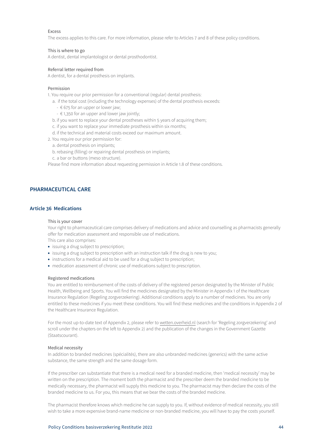<span id="page-43-0"></span>The excess applies to this care. For more information, please refer to Articles 7 and 8 of these policy conditions.

# This is where to go

A dentist, dental implantologist or dental prosthodontist.

#### Referral letter required from

A dentist, for a dental prosthesis on implants.

#### Permission

1. You require our prior permission for a conventional (regular) dental prosthesis:

- a. if the total cost (including the technology expenses) of the dental prosthesis exceeds:
	- $\epsilon$  675 for an upper or lower jaw;
	- $\epsilon$  1,350 for an upper and lower jaw jointly;
- b. if you want to replace your dental prostheses within 5 years of acquiring them;
- c. if you want to replace your immediate prosthesis within six months;
- d. if the technical and material costs exceed our maximum amount.
- 2. You require our prior permission for:
	- a. dental prosthesis on implants;
	- b. rebasing (filling) or repairing dental prosthesis on implants;
	- c. a bar or buttons (meso structure).

Please find more information about requesting permission in Article 1.8 of these conditions.

# **PHARMACEUTICAL CARE**

## **Article 36 Medications**

#### This is your cover

Your right to pharmaceutical care comprises delivery of medications and advice and counselling as pharmacists generally offer for medication assessment and responsible use of medications. This care also comprises:

- issuing a drug subject to prescription;
- issuing a drug subject to prescription with an instruction talk if the drug is new to you;
- instructions for a medical aid to be used for a drug subject to prescription;
- medication assessment of chronic use of medications subject to prescription.

#### Registered medications

You are entitled to reimbursement of the costs of delivery of the registered person designated by the Minister of Public Health, Wellbeing and Sports. You will find the medicines designated by the Minister in Appendix 1 of the Healthcare Insurance Regulation (Regeling zorgverzekering). Additional conditions apply to a number of medicines. You are only entitled to these medicines if you meet these conditions. You will find these medicines and the conditions in Appendix 2 of the Healthcare Insurance Regulation.

For the most up-to-date text of Appendix 2, please refer to wetten.overheid.nl (search for 'Regeling zorgverzekering' and scroll under the chapters on the left to Appendix 2) and the publication of the changes in the Government Gazette (Staatscourant).

#### Medical necessity

In addition to branded medicines (spécialités), there are also unbranded medicines (generics) with the same active substance, the same strength and the same dosage form.

If the prescriber can substantiate that there is a medical need for a branded medicine, then 'medical necessity' may be written on the prescription. The moment both the pharmacist and the prescriber deem the branded medicine to be medically necessary, the pharmacist will supply this medicine to you. The pharmacist may then declare the costs of the branded medicine to us. For you, this means that we bear the costs of the branded medicine.

The pharmacist therefore knows which medicine he can supply to you. If, without evidence of medical necessity, you still wish to take a more expensive brand-name medicine or non-branded medicine, you will have to pay the costs yourself.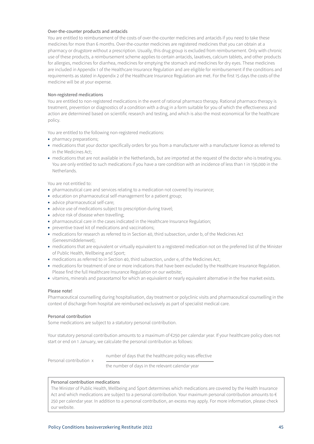## Over-the-counter products and antacids

You are entitled to reimbursement of the costs of over-the-counter medicines and antacids if you need to take these medicines for more than 6 months. Over-the-counter medicines are registered medicines that you can obtain at a pharmacy or drugstore without a prescription. Usually, this drug group is excluded from reimbursement. Only with chronic use of these products, a reimbursement scheme applies to certain antacids, laxatives, calcium tablets, and other products for allergies, medicines for diarrhea, medicines for emptying the stomach and medicines for dry eyes. These medicines are included in Appendix 1 of the Healthcare Insurance Regulation and are eligible for reimbursement if the conditions and requirements as stated in Appendix 2 of the Healthcare Insurance Regulation are met. For the first 15 days the costs of the medicine will be at your expense.

# Non-registered medications

You are entitled to non-registered medications in the event of rational pharmaco therapy. Rational pharmaco therapy is treatment, prevention or diagnostics of a condition with a drug in a form suitable for you of which the effectiveness and action are determined based on scientific research and testing, and which is also the most economical for the healthcare policy.

You are entitled to the following non-registered medications:

- pharmacy preparations;
- medications that your doctor specifically orders for you from a manufacturer with a manufacturer licence as referred to in the Medicines Act;
- medications that are not available in the Netherlands, but are imported at the request of the doctor who is treating you. You are only entitled to such medications if you have a rare condition with an incidence of less than 1 in 150,000 in the Netherlands.

You are not entitled to:

- pharmaceutical care and services relating to a medication not covered by insurance;
- education on pharmaceutical self-management for a patient group;
- advice pharmaceutical self-care;
- advice use of medications subject to prescription during travel;
- advice risk of disease when travelling;
- pharmaceutical care in the cases indicated in the Healthcare Insurance Regulation;
- preventive travel kit of medications and vaccinations;
- medications for research as referred to in Section 40, third subsection, under b, of the Medicines Act (Geneesmiddelenwet);
- medications that are equivalent or virtually equivalent to a registered medication not on the preferred list of the Minister of Public Health, Wellbeing and Sport;
- medications as referred to in Section 40, third subsection, under e, of the Medicines Act;
- medications for treatment of one or more indications that have been excluded by the Healthcare Insurance Regulation. Please find the full Healthcare Insurance Regulation on our website;
- vitamins, minerals and paracetamol for which an equivalent or nearly equivalent alternative in the free market exists.

## Please note!

Pharmaceutical counselling during hospitalisation, day treatment or polyclinic visits and pharmaceutical counselling in the context of discharge from hospital are reimbursed exclusively as part of specialist medical care.

## Personal contribution

Some medications are subject to a statutory personal contribution.

Your statutory personal contribution amounts to a maximum of €250 per calendar year. If your healthcare policy does not start or end on 1 January, we calculate the personal contribution as follows:

number of days that the healthcare policy was effective

Personal contribution x

the number of days in the relevant calendar year

## Personal contribution medications

The Minister of Public Health, Wellbeing and Sport determines which medications are covered by the Health Insurance Act and which medications are subject to a personal contribution. Your maximum personal contribution amounts to  $\epsilon$ 250 per calendar year. In addition to a personal contribution, an excess may apply. For more information, please check our website.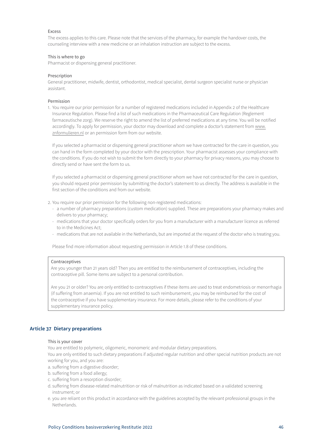<span id="page-45-0"></span>The excess applies to this care. Please note that the services of the pharmacy, for example the handover costs, the counseling interview with a new medicine or an inhalation instruction are subject to the excess.

## This is where to go

Pharmacist or dispensing general practitioner.

#### Prescription

General practitioner, midwife, dentist, orthodontist, medical specialist, dental surgeon specialist nurse or physician assistant.

# Permission

1. You require our prior permission for a number of registered medications included in Appendix 2 of the Healthcare Insurance Regulation. Please find a list of such medications in the Pharmaceutical Care Regulation (Reglement farmaceutische zorg). We reserve the right to amend the list of preferred medications at any time. You will be notified accordingly. To apply for permission, your doctor may download and complete a doctor's statement from www. znformulieren.nl or an permission form from our website.

If you selected a pharmacist or dispensing general practitioner whom we have contracted for the care in question, you can hand in the form completed by your doctor with the prescription. Your pharmacist assesses your compliance with the conditions. If you do not wish to submit the form directly to your pharmacy for privacy reasons, you may choose to directly send or have sent the form to us.

If you selected a pharmacist or dispensing general practitioner whom we have not contracted for the care in question, you should request prior permission by submitting the doctor's statement to us directly. The address is available in the first section of the conditions and from our website.

- 2. You require our prior permission for the following non-registered medications:
	- a number of pharmacy preparations (custom medication) supplied. These are preparations your pharmacy makes and delivers to your pharmacy;
	- medications that your doctor specifically orders for you from a manufacturer with a manufacturer licence as referred to in the Medicines Act;
	- medications that are not available in the Netherlands, but are imported at the request of the doctor who is treating you.

Please find more information about requesting permission in Article 1.8 of these conditions.

#### Contraceptives

Are you younger than 21 years old? Then you are entitled to the reimbursement of contraceptives, including the contraceptive pill. Some items are subject to a personal contribution.

Are you 21 or older? You are only entitled to contraceptives if these items are used to treat endometriosis or menorrhagia (if suffering from anaemia). If you are not entitled to such reimbursement, you may be reimbursed for the cost of the contraceptive if you have supplementary insurance. For more details, please refer to the conditions of your supplementary insurance policy.

# **Article 37 Dietary preparations**

#### This is your cover

You are entitled to polymeric, oligomeric, monomeric and modular dietary preparations.

You are only entitled to such dietary preparations if adjusted regular nutrition and other special nutrition products are not working for you, and you are:

- a. suffering from a digestive disorder;
- b. suffering from a food allergy;
- c. suffering from a resorption disorder;
- d. suffering from disease-related malnutrition or risk of malnutrition as indicated based on a validated screening instrument; or
- e. you are reliant on this product in accordance with the guidelines accepted by the relevant professional groups in the Netherlands.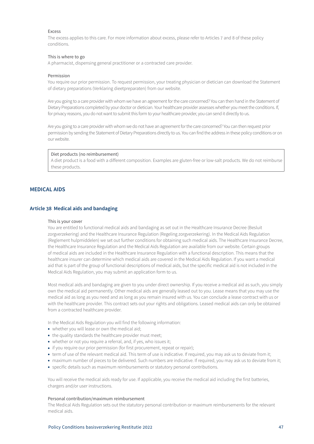<span id="page-46-0"></span>The excess applies to this care. For more information about excess, please refer to Articles 7 and 8 of these policy conditions.

# This is where to go

A pharmacist, dispensing general practitioner or a contracted care provider.

#### Permission

You require our prior permission. To request permission, your treating physician or dietician can download the Statement of dietary preparations (Verklaring dieetpreparaten) from our website.

Are you going to a care provider with whom we have an agreement for the care concerned? You can then hand in the Statement of Dietary Preparations completed by your doctor or dietician. Your healthcare provider assesses whether you meet the conditions. If, for privacy reasons, you do not want to submit this form to your healthcare provider, you can send it directly to us.

Are you going to a care provider with whom we do not have an agreement for the care concerned? You can then request prior permission by sending the Statement of Dietary Preparations directly to us. You can find the address in these policy conditions or on our website.

#### Diet products (no reimbursement)

A diet product is a food with a different composition. Examples are gluten-free or low-salt products. We do not reimburse these products.

# **MEDICAL AIDS**

## **Article 38 Medical aids and bandaging**

#### This is your cover

You are entitled to functional medical aids and bandaging as set out in the Healthcare Insurance Decree (Besluit zorgverzekering) and the Healthcare Insurance Regulation (Regeling zorgverzekering). In the Medical Aids Regulation (Reglement hulpmiddelen) we set out further conditions for obtaining such medical aids. The Healthcare Insurance Decree, the Healthcare Insurance Regulation and the Medical Aids Regulation are available from our website. Certain groups of medical aids are included in the Healthcare Insurance Regulation with a functional description. This means that the healthcare insurer can determine which medical aids are covered in the Medical Aids Regulation. If you want a medical aid that is part of the group of functional descriptions of medical aids, but the specific medical aid is not included in the Medical Aids Regulation, you may submit an application form to us.

Most medical aids and bandaging are given to you under direct ownership. If you receive a medical aid as such, you simply own the medical aid permanently. Other medical aids are generally leased out to you. Lease means that you may use the medical aid as long as you need and as long as you remain insured with us. You can conclude a lease contract with us or with the healthcare provider. This contract sets out your rights and obligations. Leased medical aids can only be obtained from a contracted healthcare provider.

In the Medical Aids Regulation you will find the following information:

- whether you will lease or own the medical aid;
- the quality standards the healthcare provider must meet;
- whether or not you require a referral, and, if yes, who issues it;
- if you require our prior permission (for first procurement, repeat or repair);
- term of use of the relevant medical aid. This term of use is indicative. If required, you may ask us to deviate from it;
- maximum number of pieces to be delivered. Such numbers are indicative. If required, you may ask us to deviate from it;
- specific details such as maximum reimbursements or statutory personal contributions.

You will receive the medical aids ready for use. If applicable, you receive the medical aid including the first batteries, chargers and/or user instructions.

#### Personal contribution/maximum reimbursement

The Medical Aids Regulation sets out the statutory personal contribution or maximum reimbursements for the relevant medical aids.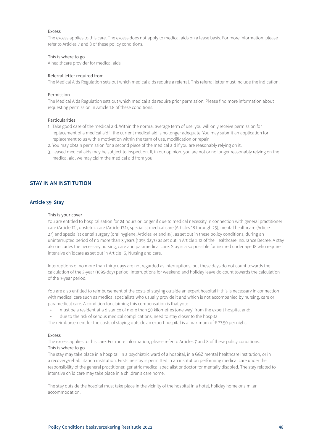<span id="page-47-0"></span>The excess applies to this care. The excess does not apply to medical aids on a lease basis. For more information, please refer to Articles 7 and 8 of these policy conditions.

#### This is where to go

A healthcare provider for medical aids.

## Referral letter required from

The Medical Aids Regulation sets out which medical aids require a referral. This referral letter must include the indication.

#### Permission

The Medical Aids Regulation sets out which medical aids require prior permission. Please find more information about requesting permission in Article 1.8 of these conditions.

#### Particularities

- 1. Take good care of the medical aid. Within the normal average term of use, you will only receive permission for replacement of a medical aid if the current medical aid is no longer adequate. You may submit an application for replacement to us with a motivation within the term of use, modification or repair.
- 2. You may obtain permission for a second piece of the medical aid if you are reasonably relying on it.
- 3. Leased medical aids may be subject to inspection. If, in our opinion, you are not or no longer reasonably relying on the medical aid, we may claim the medical aid from you.

# **STAY IN AN INSTITUTION**

## **Article 39 Stay**

#### This is your cover

You are entitled to hospitalisation for 24 hours or longer if due to medical necessity in connection with general practitioner care (Article 12), obstetric care (Article 17.1), specialist medical care (Articles 18 through 25), mental healthcare (Article 27) and specialist dental surgery (oral hygiene, Articles 34 and 35), as set out in these policy conditions, during an uninterrupted period of no more than 3 years (1095 days) as set out in Article 2.12 of the Healthcare Insurance Decree. A stay also includes the necessary nursing, care and paramedical care. Stay is also possible for insured under age 18 who require intensive childcare as set out in Article 16, Nursing and care.

Interruptions of no more than thirty days are not regarded as interruptions, but these days do not count towards the calculation of the 3-year (1095-day) period. Interruptions for weekend and holiday leave do count towards the calculation of the 3-year period.

You are also entitled to reimbursement of the costs of staying outside an expert hospital if this is necessary in connection with medical care such as medical specialists who usually provide it and which is not accompanied by nursing, care or paramedical care. A condition for claiming this compensation is that you:

- must be a resident at a distance of more than 50 kilometres (one way) from the expert hospital and;
- due to the risk of serious medical complications, need to stay closer to the hospital.

The reimbursement for the costs of staying outside an expert hospital is a maximum of  $\epsilon$  77.50 per night.

#### Excess

The excess applies to this care. For more information, please refer to Articles 7 and 8 of these policy conditions. This is where to go

The stay may take place in a hospital, in a psychiatric ward of a hospital, in a GGZ mental healthcare institution, or in a recovery/rehabilitation institution. First-line stay is permitted in an institution performing medical care under the responsibility of the general practitioner, geriatric medical specialist or doctor for mentally disabled. The stay related to intensive child care may take place in a children's care home.

The stay outside the hospital must take place in the vicinity of the hospital in a hotel, holiday home or similar accommodation.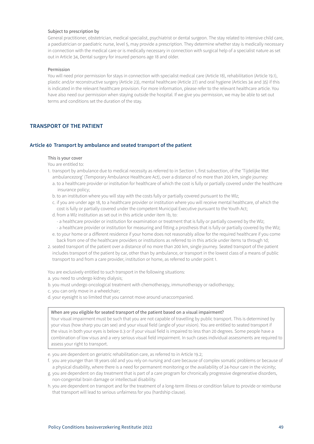# <span id="page-48-0"></span>Subject to prescription by

General practitioner, obstetrician, medical specialist, psychiatrist or dental surgeon. The stay related to intensive child care, a paediatrician or paediatric nurse, level 5, may provide a prescription. They determine whether stay is medically necessary in connection with the medical care or is medically necessary in connection with surgical help of a specialist nature as set out in Article 34, Dental surgery for insured persons age 18 and older.

#### Permission

You will need prior permission for stays in connection with specialist medical care (Article 18), rehabilitation (Article 19.1), plastic and/or reconstructive surgery (Article 23), mental healthcare (Article 27) and oral hygiene (Articles 34 and 35) if this is indicated in the relevant healthcare provision. For more information, please refer to the relevant healthcare article. You have also need our permission when staying outside the hospital. If we give you permission, we may be able to set out terms and conditions set the duration of the stay.

# **TRANSPORT OF THE PATIENT**

#### **Article 40 Transport by ambulance and seated transport of the patient**

#### This is your cover

You are entitled to:

- 1. transport by ambulance due to medical necessity as referred to in Section 1, first subsection, of the 'Tijdelijke Wet ambulancezorg' (Temporary Ambulance Healthcare Act), over a distance of no more than 200 km, single journey:
	- a. to a healthcare provider or institution for healthcare of which the cost is fully or partially covered under the healthcare insurance policy;
	- b. to an institution where you will stay with the costs fully or partially covered pursuant to the Wlz;
	- c. if you are under age 18, to a healthcare provider or institution where you will receive mental healthcare, of which the cost is fully or partially covered under the competent Municipal Executive pursuant to the Youth Act;
	- d. from a Wlz institution as set out in this article under item 1b, to:
		- a healthcare provider or institution for examination or treatment that is fully or partially covered by the Wlz;
	- a healthcare provider or institution for measuring and fitting a prosthesis that is fully or partially covered by the Wlz;
	- e. to your home or a different residence if your home does not reasonably allow for the required healthcare if you come back from one of the healthcare providers or institutions as referred to in this article under items 1a through 1d;
- 2. seated transport of the patient over a distance of no more than 200 km, single journey. Seated transport of the patient includes transport of the patient by car, other than by ambulance, or transport in the lowest class of a means of public transport to and from a care provider, institution or home, as referred to under point 1.

You are exclusively entitled to such transport in the following situations:

- a. you need to undergo kidney dialysis;
- b. you must undergo oncological treatment with chemotherapy, immunotherapy or radiotherapy;
- c. you can only move in a wheelchair;
- d. your eyesight is so limited that you cannot move around unaccompanied.

#### When are you eligible for seated transport of the patient based on a visual impairment?

Your visual impairment must be such that you are not capable of travelling by public transport. This is determined by your visus (how sharp you can see) and your visual field (angle of your vision). You are entitled to seated transport if the visus in both your eyes is below 0.3 or if your visual field is impaired to less than 20 degrees. Some people have a combination of low visus and a very serious visual field impairment. In such cases individual assessments are required to assess your right to transport.

e. you are dependent on geriatric rehabilitation care, as referred to in Article 19.2;

- f. you are younger than 18 years old and you rely on nursing and care because of complex somatic problems or because of a physical disability, where there is a need for permanent monitoring or the availability of 24-hour care in the vicinity;
- g. you are dependent on day treatment that is part of a care program for chronically progressive degenerative disorders, non-congenital brain damage or intellectual disability.
- h. you are dependent on transport and for the treatment of a long-term illness or condition failure to provide or reimburse that transport will lead to serious unfairness for you (hardship clause).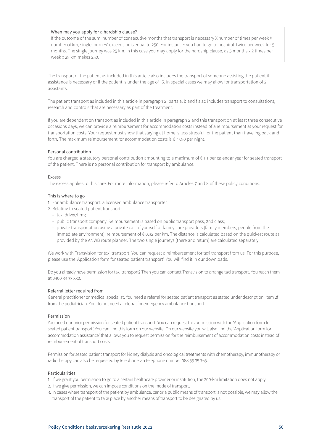## When may you apply for a hardship clause?

If the outcome of the sum 'number of consecutive months that transport is necessary X number of times per week X number of km, single journey' exceeds or is equal to 250. For instance: you had to go to hospital twice per week for 5 months. The single journey was 25 km. In this case you may apply for the hardship clause, as 5 months x 2 times per week x 25 km makes 250.

The transport of the patient as included in this article also includes the transport of someone assisting the patient if assistance is necessary or if the patient is under the age of 16. In special cases we may allow for transportation of 2 assistants.

The patient transport as included in this article in paragraph 2, parts a, b and f also includes transport to consultations, research and controls that are necessary as part of the treatment.

If you are dependent on transport as included in this article in paragraph 2 and this transport on at least three consecutive occasions days, we can provide a reimbursement for accommodation costs instead of a reimbursement at your request for transportation costs. Your request must show that staying at home is less stressful for the patient than traveling back and forth. The maximum reimbursement for accommodation costs is € 77.50 per night.

#### Personal contribution

You are charged a statutory personal contribution amounting to a maximum of € 111 per calendar year for seated transport of the patient. There is no personal contribution for transport by ambulance.

#### Excess

The excess applies to this care. For more information, please refer to Articles 7 and 8 of these policy conditions.

#### This is where to go

1. For ambulance transport: a licensed ambulance transporter.

- 2. Relating to seated patient transport:
	- taxi driver/firm;
	- public transport company. Reimbursement is based on public transport pass, 2nd class;
	- private transportation using a private car, of yourself or family care providers (family members, people from the immediate environment): reimbursement of € 0.32 per km. The distance is calculated based on the quickest route as provided by the ANWB route planner. The two single journeys (there and return) are calculated separately.

We work with Transvision for taxi transport. You can request a reimbursement for taxi transport from us. For this purpose, please use the 'Application form for seated patient transport'. You will find it in our downloads.

Do you already have permission for taxi transport? Then you can contact Transvision to arrange taxi transport. You reach them at 0900 33 33 330.

## Referral letter required from

General practitioner or medical specialist. You need a referral for seated patient transport as stated under description, item 2f from the pediatrician. You do not need a referral for emergency ambulance transport.

#### Permission

You need our prior permission for seated patient transport. You can request this permission with the 'Application form for seated patient transport'. You can find this form on our website. On our website you will also find the 'Application form for accommodation assistance' that allows you to request permission for the reimbursement of accommodation costs instead of reimbursement of transport costs.

Permission for seated patient transport for kidney dialysis and oncological treatments with chemotherapy, immunotherapy or radiotherapy can also be requested by telephone via telephone number 088 35 35 763.

## Particularities

- 1. If we grant you permission to go to a certain healthcare provider or institution, the 200-km limitation does not apply.
- 2. if we give permission, we can impose conditions on the mode of transport.
- 3. In cases where transport of the patient by ambulance, car or a public means of transport is not possible, we may allow the transport of the patient to take place by another means of transport to be designated by us.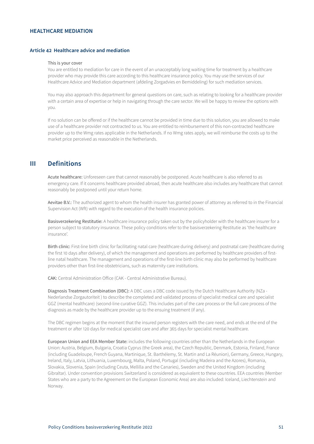# <span id="page-50-0"></span>**HEALTHCARE MEDIATION**

# **Article 42 Healthcare advice and mediation**

#### This is your cover

You are entitled to mediation for care in the event of an unacceptably long waiting time for treatment by a healthcare provider who may provide this care according to this healthcare insurance policy. You may use the services of our Healthcare Advice and Mediation department (afdeling Zorgadvies en Bemiddeling) for such mediation services.

You may also approach this department for general questions on care, such as relating to looking for a healthcare provider with a certain area of expertise or help in navigating through the care sector. We will be happy to review the options with you.

If no solution can be offered or if the healthcare cannot be provided in time due to this solution, you are allowed to make use of a healthcare provider not contracted to us. You are entitled to reimbursement of this non-contracted healthcare provider up to the Wmg rates applicable in the Netherlands. If no Wmg rates apply, we will reimburse the costs up to the market price perceived as reasonable in the Netherlands.

# **III Definitions**

Acute healthcare: Unforeseen care that cannot reasonably be postponed. Acute healthcare is also referred to as emergency care. If it concerns healthcare provided abroad, then acute healthcare also includes any healthcare that cannot reasonably be postponed until your return home.

Aevitae B.V.: The authorized agent to whom the health insurer has granted power of attorney as referred to in the Financial Supervision Act (Wft) with regard to the execution of the health insurance policies.

Basisverzekering Restitutie: A healthcare insurance policy taken out by the policyholder with the healthcare insurer for a person subject to statutory insurance. These policy conditions refer to the basisverzekering Restitutie as 'the healthcare insurance'.

Birth clinic: First-line birth clinic for facilitating natal care (healthcare during delivery) and postnatal care (healthcare during the first 10 days after delivery), of which the management and operations are performed by healthcare providers of firstline natal healthcare. The management and operations of the first-line birth clinic may also be performed by healthcare providers other than first-line obstetricians, such as maternity care institutions.

CAK: Central Administration Office (CAK - Central Administrative Bureau).

Diagnosis Treatment Combination (DBC): A DBC uses a DBC code issued by the Dutch Healthcare Authority (NZa -Nederlandse Zorgautoriteit ) to describe the completed and validated process of specialist medical care and specialist GGZ (mental healthcare) (second-line curative GGZ). This includes part of the care process or the full care process of the diagnosis as made by the healthcare provider up to the ensuing treatment (if any).

The DBC regimen begins at the moment that the insured person registers with the care need, and ends at the end of the treatment or after 120 days for medical specialist care and after 365 days for specialist mental healthcare.

European Union and EEA Member State: includes the following countries other than the Netherlands in the European Union: Austria, Belgium, Bulgaria, Croatia Cyprus (the Greek area), the Czech Republic, Denmark, Estonia, Finland, France (including Guadeloupe, French Guyana, Martinique, St. Barthélemy, St. Martin and La Réunion), Germany, Greece, Hungary, Ireland, Italy, Latvia, Lithuania, Luxembourg, Malta, Poland, Portugal (including Madeira and the Azores), Romania, Slovakia, Slovenia, Spain (including Ceuta, Mellilla and the Canaries), Sweden and the United Kingdom (including Gibraltar). Under convention provisions Switzerland is considered as equivalent to these countries. EEA countries (Member States who are a party to the Agreement on the European Economic Area) are also included: Iceland, Liechtenstein and Norway.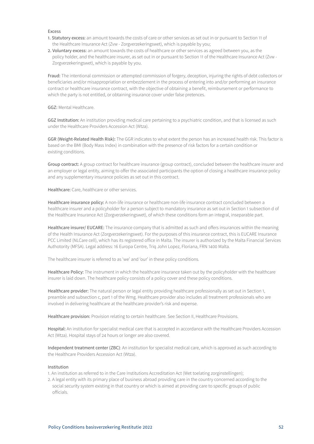- 1. Statutory excess: an amount towards the costs of care or other services as set out in or pursuant to Section 11 of the Healthcare Insurance Act (Zvw - Zorgverzekeringswet), which is payable by you;
- 2. Voluntary excess: an amount towards the costs of healthcare or other services as agreed between you, as the policy holder, and the healthcare insurer, as set out in or pursuant to Section 11 of the Healthcare Insurance Act (Zvw - Zorgverzekeringswet), which is payable by you.

Fraud: The intentional commission or attempted commission of forgery, deception, injuring the rights of debt collectors or beneficiaries and/or misappropriation or embezzlement in the process of entering into and/or performing an insurance contract or healthcare insurance contract, with the objective of obtaining a benefit, reimbursement or performance to which the party is not entitled, or obtaining insurance cover under false pretences.

# GGZ: Mental Healthcare.

GGZ Institution: An institution providing medical care pertaining to a psychiatric condition, and that is licensed as such under the Healthcare Providers Accession Act (Wtza).

GGR (Weight-Related Health Risk): The GGR indicates to what extent the person has an increased health risk. This factor is based on the BMI (Body Mass Index) in combination with the presence of risk factors for a certain condition or existing conditions.

Group contract: A group contract for healthcare insurance (group contract), concluded between the healthcare insurer and an employer or legal entity, aiming to offer the associated participants the option of closing a healthcare insurance policy and any supplementary insurance policies as set out in this contract.

Healthcare: Care, healthcare or other services.

Healthcare insurance policy: A non-life insurance or healthcare non-life insurance contract concluded between a healthcare insurer and a policyholder for a person subject to mandatory insurance as set out in Section 1 subsection d of the Healthcare Insurance Act (Zorgverzekeringswet), of which these conditions form an integral, inseparable part.

Healthcare insurer/ EUCARE: The insurance company that is admitted as such and offers insurances within the meaning of the Health Insurance Act (Zorgverzekeringswet). For the purposes of this insurance contract, this is EUCARE Insurance PCC Limited (NLCare cell), which has its registered office in Malta. The insurer is authorized by the Malta Financial Services Authotority (MFSA). Legal address: 16 Europa Centre, Triq John Lopez, Floriana, FRN 1400 Malta.

The healthcare insurer is referred to as 'we' and 'our' in these policy conditions.

Healthcare Policy: The instrument in which the healthcare insurance taken out by the policyholder with the healthcare insurer is laid down. The healthcare policy consists of a policy cover and these policy conditions.

Healthcare provider: The natural person or legal entity providing healthcare professionally as set out in Section 1, preamble and subsection c, part 1 of the Wmg. Healthcare provider also includes all treatment professionals who are involved in delivering healthcare at the healthcare provider's risk and expense.

Healthcare provision: Provision relating to certain healthcare. See Section II, Healthcare Provisions.

Hospital: An institution for specialist medical care that is accepted in accordance with the Healthcare Providers Accession Act (Wtza). Hospital stays of 24 hours or longer are also covered.

Independent treatment center (ZBC): An institution for specialist medical care, which is approved as such according to the Healthcare Providers Accession Act (Wtza).

#### Institution

1. An institution as referred to in the Care Institutions Accreditation Act (Wet toelating zorginstellingen);

2. A legal entity with its primary place of business abroad providing care in the country concerned according to the social security system existing in that country or which is aimed at providing care to specific groups of public officials.